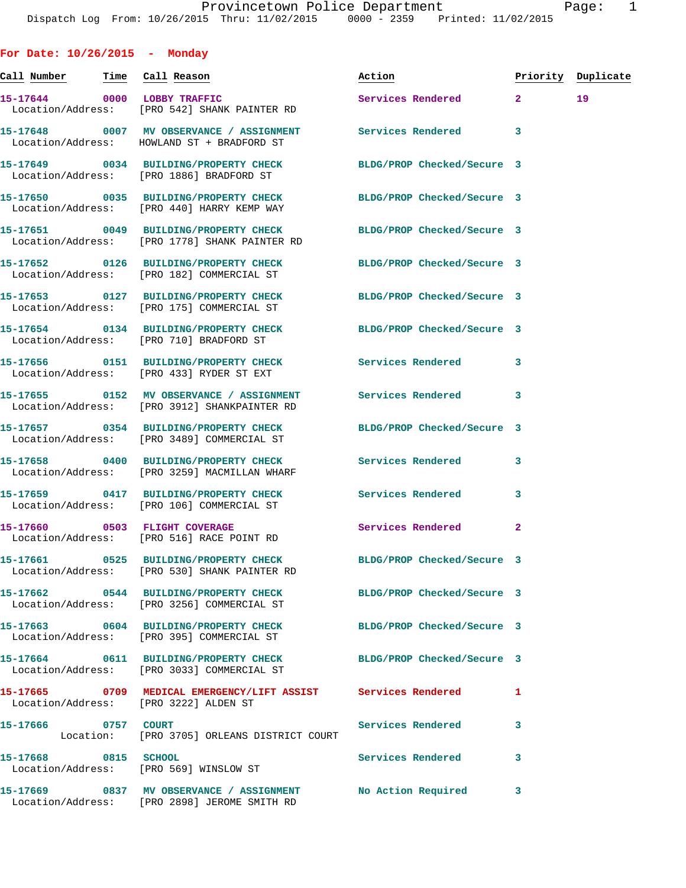**For Date: 10/26/2015 - Monday Call Number Time Call Reason Action Priority Duplicate 15-17644 0000 LOBBY TRAFFIC Services Rendered 2 19**  Location/Address: [PRO 542] SHANK PAINTER RD **15-17648 0007 MV OBSERVANCE / ASSIGNMENT Services Rendered 3**  Location/Address: HOWLAND ST + BRADFORD ST **15-17649 0034 BUILDING/PROPERTY CHECK BLDG/PROP Checked/Secure 3**  Location/Address: [PRO 1886] BRADFORD ST **15-17650 0035 BUILDING/PROPERTY CHECK BLDG/PROP Checked/Secure 3**  Location/Address: [PRO 440] HARRY KEMP WAY **15-17651 0049 BUILDING/PROPERTY CHECK BLDG/PROP Checked/Secure 3**  Location/Address: [PRO 1778] SHANK PAINTER RD **15-17652 0126 BUILDING/PROPERTY CHECK BLDG/PROP Checked/Secure 3**  Location/Address: [PRO 182] COMMERCIAL ST **15-17653 0127 BUILDING/PROPERTY CHECK BLDG/PROP Checked/Secure 3**  Location/Address: [PRO 175] COMMERCIAL ST **15-17654 0134 BUILDING/PROPERTY CHECK BLDG/PROP Checked/Secure 3**  Location/Address: [PRO 710] BRADFORD ST **15-17656 0151 BUILDING/PROPERTY CHECK Services Rendered 3**  Location/Address: [PRO 433] RYDER ST EXT **15-17655 0152 MV OBSERVANCE / ASSIGNMENT Services Rendered 3**  Location/Address: [PRO 3912] SHANKPAINTER RD **15-17657 0354 BUILDING/PROPERTY CHECK BLDG/PROP Checked/Secure 3**  Location/Address: [PRO 3489] COMMERCIAL ST **15-17658 0400 BUILDING/PROPERTY CHECK Services Rendered 3**  Location/Address: [PRO 3259] MACMILLAN WHARF **15-17659 0417 BUILDING/PROPERTY CHECK Services Rendered 3**  Location/Address: [PRO 106] COMMERCIAL ST 15-17660 0503 FLIGHT COVERAGE **Services Rendered** 2 Location/Address: [PRO 516] RACE POINT RD **15-17661 0525 BUILDING/PROPERTY CHECK BLDG/PROP Checked/Secure 3**  Location/Address: [PRO 530] SHANK PAINTER RD **15-17662 0544 BUILDING/PROPERTY CHECK BLDG/PROP Checked/Secure 3**  Location/Address: [PRO 3256] COMMERCIAL ST **15-17663 0604 BUILDING/PROPERTY CHECK BLDG/PROP Checked/Secure 3**  Location/Address: [PRO 395] COMMERCIAL ST **15-17664 0611 BUILDING/PROPERTY CHECK BLDG/PROP Checked/Secure 3**  Location/Address: [PRO 3033] COMMERCIAL ST **15-17665 0709 MEDICAL EMERGENCY/LIFT ASSIST Services Rendered 1**  Location/Address: [PRO 3222] ALDEN ST **15-17666 0757 COURT Services Rendered 3**  Location: [PRO 3705] ORLEANS DISTRICT COURT

**15-17668 0815 SCHOOL Services Rendered 3**  Location/Address: [PRO 569] WINSLOW ST **15-17669 0837 MV OBSERVANCE / ASSIGNMENT No Action Required 3** 

Location/Address: [PRO 2898] JEROME SMITH RD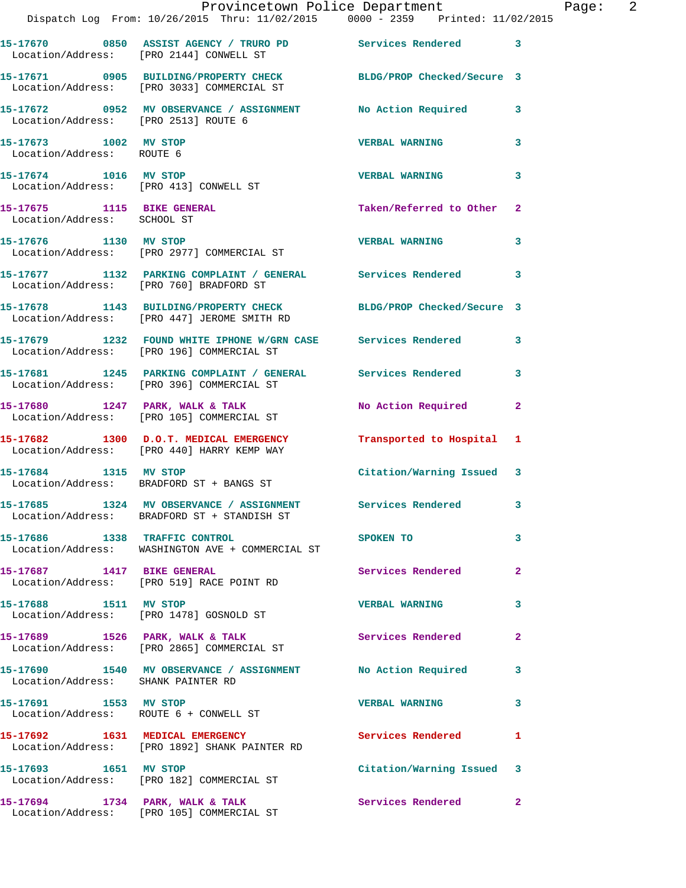|                                                                 | Provincetown Police Department<br>Dispatch Log From: 10/26/2015 Thru: 11/02/2015 0000 - 2359 Printed: 11/02/2015 |                           |                |
|-----------------------------------------------------------------|------------------------------------------------------------------------------------------------------------------|---------------------------|----------------|
|                                                                 | 15-17670 0850 ASSIST AGENCY / TRURO PD Services Rendered<br>Location/Address: [PRO 2144] CONWELL ST              |                           | 3              |
|                                                                 | 15-17671 0905 BUILDING/PROPERTY CHECK BLDG/PROP Checked/Secure 3<br>Location/Address: [PRO 3033] COMMERCIAL ST   |                           |                |
|                                                                 | 15-17672  0952 MV OBSERVANCE / ASSIGNMENT      No Action Required<br>Location/Address: [PRO 2513] ROUTE 6        |                           | 3              |
| 15-17673 1002 MV STOP<br>Location/Address: ROUTE 6              |                                                                                                                  | <b>VERBAL WARNING</b>     | 3              |
| 15-17674 1016 MV STOP<br>Location/Address: [PRO 413] CONWELL ST |                                                                                                                  | <b>VERBAL WARNING</b>     | 3              |
| 15-17675 1115 BIKE GENERAL<br>Location/Address: SCHOOL ST       |                                                                                                                  | Taken/Referred to Other   | $\mathbf{2}$   |
| 15-17676 1130 MV STOP                                           | Location/Address: [PRO 2977] COMMERCIAL ST                                                                       | <b>VERBAL WARNING</b>     | 3              |
|                                                                 | 15-17677 1132 PARKING COMPLAINT / GENERAL Services Rendered<br>Location/Address: [PRO 760] BRADFORD ST           |                           | 3              |
|                                                                 | 15-17678 1143 BUILDING/PROPERTY CHECK BLDG/PROP Checked/Secure 3<br>Location/Address: [PRO 447] JEROME SMITH RD  |                           |                |
|                                                                 | 15-17679 1232 FOUND WHITE IPHONE W/GRN CASE Services Rendered<br>Location/Address: [PRO 196] COMMERCIAL ST       |                           | 3              |
|                                                                 | 15-17681 1245 PARKING COMPLAINT / GENERAL Services Rendered<br>Location/Address: [PRO 396] COMMERCIAL ST         |                           | 3              |
|                                                                 | 15-17680 1247 PARK, WALK & TALK<br>Location/Address: [PRO 105] COMMERCIAL ST                                     | No Action Required        | 2              |
|                                                                 | 15-17682 1300 D.O.T. MEDICAL EMERGENCY Transported to Hospital<br>Location/Address: [PRO 440] HARRY KEMP WAY     |                           | 1              |
|                                                                 | 15-17684 1315 MV STOP<br>Location/Address: BRADFORD ST + BANGS ST                                                | Citation/Warning Issued 3 |                |
|                                                                 | 15-17685 1324 MV OBSERVANCE / ASSIGNMENT<br>Location/Address: BRADFORD ST + STANDISH ST                          | Services Rendered         |                |
| 15-17686 1338 TRAFFIC CONTROL                                   | Location/Address: WASHINGTON AVE + COMMERCIAL ST                                                                 | <b>SPOKEN TO</b>          | 3              |
| 15-17687 1417 BIKE GENERAL                                      | Location/Address: [PRO 519] RACE POINT RD                                                                        | Services Rendered         | 2              |
| 15-17688 1511 MV STOP                                           | Location/Address: [PRO 1478] GOSNOLD ST                                                                          | <b>VERBAL WARNING</b>     | 3              |
|                                                                 | 15-17689 1526 PARK, WALK & TALK<br>Location/Address: [PRO 2865] COMMERCIAL ST                                    | <b>Services Rendered</b>  | $\overline{a}$ |
| Location/Address: SHANK PAINTER RD                              | 15-17690 1540 MV OBSERVANCE / ASSIGNMENT No Action Required                                                      |                           | 3              |
| 15-17691 1553 MV STOP                                           | Location/Address: ROUTE 6 + CONWELL ST                                                                           | <b>VERBAL WARNING</b>     | 3              |
|                                                                 | 15-17692 1631 MEDICAL EMERGENCY<br>Location/Address: [PRO 1892] SHANK PAINTER RD                                 | <b>Services Rendered</b>  | 1              |
| 15-17693 1651 MV STOP                                           | Location/Address: [PRO 182] COMMERCIAL ST                                                                        | Citation/Warning Issued   | 3              |
|                                                                 | 15-17694 1734 PARK, WALK & TALK<br>Location/Address: [PRO 105] COMMERCIAL ST                                     | <b>Services Rendered</b>  | $\mathbf{2}$   |

Page: 2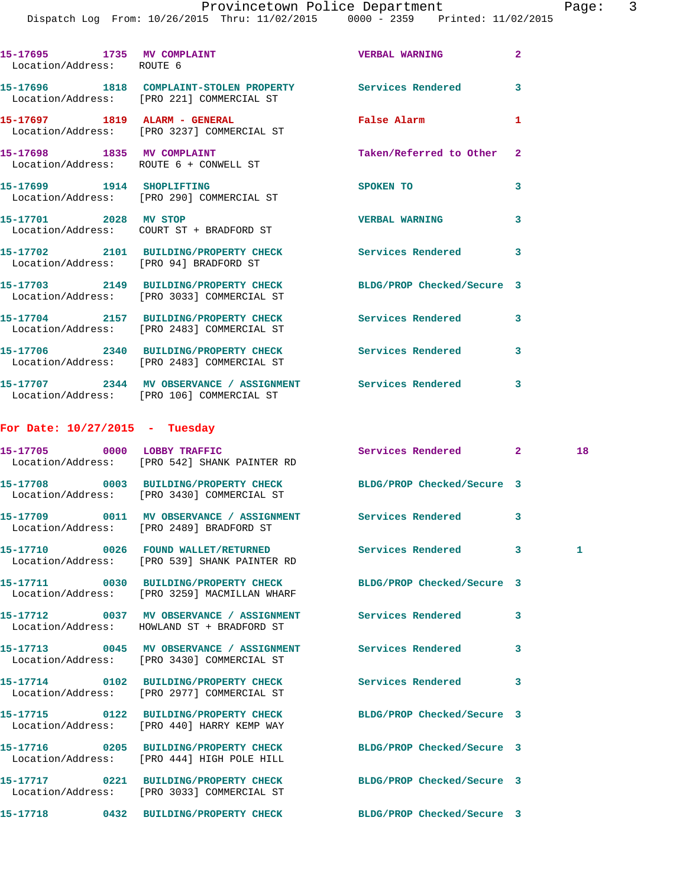| 15-17695 1735 MV COMPLAINT<br>Location/Address: ROUTE 6              |                                                                                      | <b>VERBAL WARNING</b>   | $\overline{2}$ |
|----------------------------------------------------------------------|--------------------------------------------------------------------------------------|-------------------------|----------------|
|                                                                      | 15-17696 1818 COMPLAINT-STOLEN PROPERTY<br>Location/Address: [PRO 221] COMMERCIAL ST | Services Rendered       | 3              |
|                                                                      | Location/Address: [PRO 3237] COMMERCIAL ST                                           | <b>False Alarm</b>      | 1              |
| 15-17698 1835 MV COMPLAINT<br>Location/Address: ROUTE 6 + CONWELL ST |                                                                                      | Taken/Referred to Other | $\overline{2}$ |
|                                                                      | Location/Address: [PRO 290] COMMERCIAL ST                                            | SPOKEN TO               | 3              |
| 15-17701 2028                                                        | MV STOP<br>Location/Address: COURT ST + BRADFORD ST                                  | <b>VERBAL WARNING</b>   | 3              |
| 15-17702<br>2101                                                     | <b>BUILDING/PROPERTY CHECK</b>                                                       | Services Rendered       | 3              |

 Location/Address: [PRO 94] BRADFORD ST **15-17703 2149 BUILDING/PROPERTY CHECK BLDG/PROP Checked/Secure 3**  Location/Address: [PRO 3033] COMMERCIAL ST **15-17704 2157 BUILDING/PROPERTY CHECK Services Rendered 3**  Location/Address: [PRO 2483] COMMERCIAL ST **15-17706 2340 BUILDING/PROPERTY CHECK Services Rendered 3**  Location/Address: [PRO 2483] COMMERCIAL ST

**15-17707 2344 MV OBSERVANCE / ASSIGNMENT Services Rendered 3**  Location/Address: [PRO 106] COMMERCIAL ST

## **For Date: 10/27/2015 - Tuesday**

| 15-17705 0000 LOBBY TRAFFIC<br>Location/Address: [PRO 542] SHANK PAINTER RD                                                | Services Rendered 2        |                         | 18 |
|----------------------------------------------------------------------------------------------------------------------------|----------------------------|-------------------------|----|
| 15-17708 0003 BUILDING/PROPERTY CHECK BLDG/PROP Checked/Secure 3<br>Location/Address: [PRO 3430] COMMERCIAL ST             |                            |                         |    |
| 15-17709 0011 MV OBSERVANCE / ASSIGNMENT Services Rendered<br>Location/Address: [PRO 2489] BRADFORD ST                     |                            | $\mathbf{3}$            |    |
| Location/Address: [PRO 539] SHANK PAINTER RD                                                                               |                            | $\overline{\mathbf{3}}$ | 1  |
| 15-17711 0030 BUILDING/PROPERTY CHECK<br>Location/Address: [PRO 3259] MACMILLAN WHARF                                      | BLDG/PROP Checked/Secure 3 |                         |    |
| 15-17712 0037 MV OBSERVANCE / ASSIGNMENT Services Rendered<br>Location/Address: HOWLAND ST + BRADFORD ST                   |                            | 3                       |    |
| 15-17713 6045 MV OBSERVANCE / ASSIGNMENT Services Rendered<br>Location/Address: [PRO 3430] COMMERCIAL ST                   |                            | 3                       |    |
| 15-17714 0102 BUILDING/PROPERTY CHECK Services Rendered<br>Location/Address: [PRO 2977] COMMERCIAL ST                      |                            | 3                       |    |
| 15-17715 0122 BUILDING/PROPERTY CHECK BLDG/PROP Checked/Secure 3<br>Location/Address: [PRO 440] HARRY KEMP WAY             |                            |                         |    |
| 15-17716 0205 BUILDING/PROPERTY CHECK BLDG/PROP Checked/Secure 3<br>Location/Address: [PRO 444] HIGH POLE HILL             |                            |                         |    |
| 15-17717      0221  BUILDING/PROPERTY CHECK       BLDG/PROP Checked/Secure 3<br>Location/Address: [PRO 3033] COMMERCIAL ST |                            |                         |    |
| 15-17718 0432 BUILDING/PROPERTY CHECK BLDG/PROP Checked/Secure 3                                                           |                            |                         |    |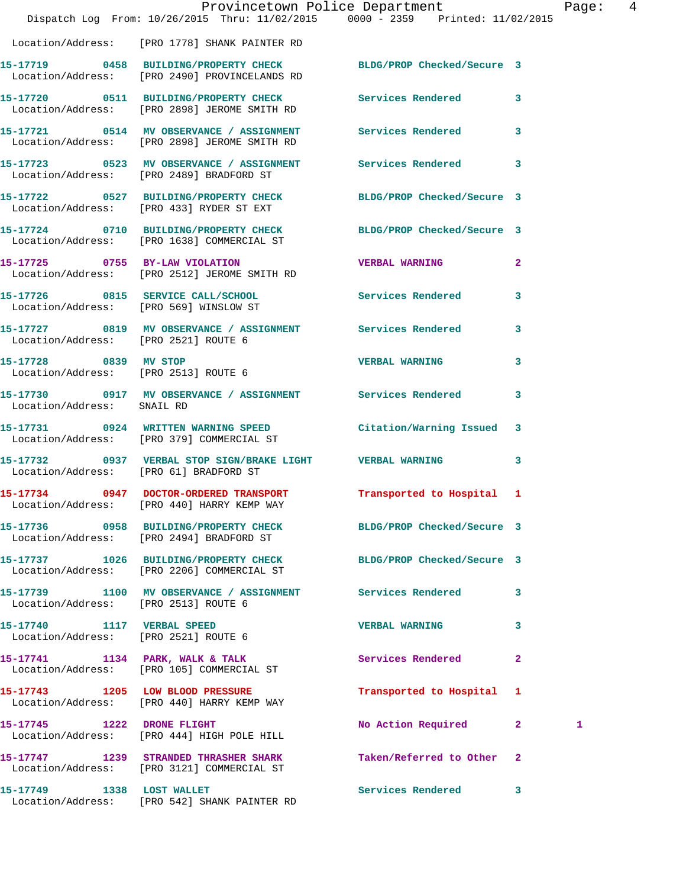|                                                                    | Dispatch Log From: 10/26/2015 Thru: 11/02/2015 0000 - 2359 Printed: 11/02/2015                                    | Provincetown Police Department | Page: 4                 |  |
|--------------------------------------------------------------------|-------------------------------------------------------------------------------------------------------------------|--------------------------------|-------------------------|--|
|                                                                    | Location/Address: [PRO 1778] SHANK PAINTER RD                                                                     |                                |                         |  |
|                                                                    | 15-17719 0458 BUILDING/PROPERTY CHECK BLDG/PROP Checked/Secure 3<br>Location/Address: [PRO 2490] PROVINCELANDS RD |                                |                         |  |
|                                                                    | 15-17720 0511 BUILDING/PROPERTY CHECK Services Rendered 3<br>Location/Address: [PRO 2898] JEROME SMITH RD         |                                |                         |  |
|                                                                    | 15-17721 0514 MV OBSERVANCE / ASSIGNMENT Services Rendered<br>Location/Address: [PRO 2898] JEROME SMITH RD        |                                | $\overline{\mathbf{3}}$ |  |
|                                                                    | 15-17723 0523 MV OBSERVANCE / ASSIGNMENT Services Rendered 3<br>Location/Address: [PRO 2489] BRADFORD ST          |                                |                         |  |
|                                                                    | 15-17722 0527 BUILDING/PROPERTY CHECK BLDG/PROP Checked/Secure 3<br>Location/Address: [PRO 433] RYDER ST EXT      |                                |                         |  |
|                                                                    | 15-17724 0710 BUILDING/PROPERTY CHECK BLDG/PROP Checked/Secure 3<br>Location/Address: [PRO 1638] COMMERCIAL ST    |                                |                         |  |
|                                                                    | 15-17725 0755 BY-LAW VIOLATION CHEREAL WARNING 2<br>Location/Address: [PRO 2512] JEROME SMITH RD                  |                                |                         |  |
|                                                                    | 15-17726 0815 SERVICE CALL/SCHOOL 5ervices Rendered 3<br>Location/Address: [PRO 569] WINSLOW ST                   |                                |                         |  |
| Location/Address: [PRO 2521] ROUTE 6                               | 15-17727 0819 MV OBSERVANCE / ASSIGNMENT Services Rendered 3                                                      |                                |                         |  |
| Location/Address: [PRO 2513] ROUTE 6                               | 15-17728 0839 MV STOP                                                                                             | <b>VERBAL WARNING</b>          | $\mathbf{3}$            |  |
| Location/Address: SNAIL RD                                         | 15-17730 0917 MV OBSERVANCE / ASSIGNMENT Services Rendered 3                                                      |                                |                         |  |
|                                                                    | 15-17731 0924 WRITTEN WARNING SPEED<br>Location/Address: [PRO 379] COMMERCIAL ST                                  | Citation/Warning Issued 3      |                         |  |
|                                                                    | 15-17732 0937 VERBAL STOP SIGN/BRAKE LIGHT VERBAL WARNING<br>Location/Address: [PRO 61] BRADFORD ST               |                                | $\mathbf{3}$            |  |
|                                                                    | 15-17734 0947 DOCTOR-ORDERED TRANSPORT Transported to Hospital 1<br>Location/Address: [PRO 440] HARRY KEMP WAY    |                                |                         |  |
|                                                                    | 15-17736 0958 BUILDING/PROPERTY CHECK<br>Location/Address: [PRO 2494] BRADFORD ST                                 | BLDG/PROP Checked/Secure 3     |                         |  |
|                                                                    | 15-17737 1026 BUILDING/PROPERTY CHECK<br>Location/Address: [PRO 2206] COMMERCIAL ST                               | BLDG/PROP Checked/Secure 3     |                         |  |
| Location/Address: [PRO 2513] ROUTE 6                               | 15-17739 1100 MV OBSERVANCE / ASSIGNMENT Services Rendered 3                                                      |                                |                         |  |
| 15-17740 1117 VERBAL SPEED<br>Location/Address: [PRO 2521] ROUTE 6 |                                                                                                                   | <b>VERBAL WARNING</b>          | 3                       |  |
|                                                                    | 15-17741 1134 PARK, WALK & TALK<br>Location/Address: [PRO 105] COMMERCIAL ST                                      | Services Rendered 2            |                         |  |
|                                                                    | 15-17743 1205 LOW BLOOD PRESSURE<br>Location/Address: [PRO 440] HARRY KEMP WAY                                    | Transported to Hospital 1      |                         |  |
| 15-17745 1222 DRONE FLIGHT                                         | Location/Address: [PRO 444] HIGH POLE HILL                                                                        | No Action Required 2           | 1                       |  |
|                                                                    | 15-17747 1239 STRANDED THRASHER SHARK<br>Location/Address: [PRO 3121] COMMERCIAL ST                               | Taken/Referred to Other 2      |                         |  |
| 15-17749 1338 LOST WALLET                                          | Location/Address: [PRO 542] SHANK PAINTER RD                                                                      | Services Rendered 3            |                         |  |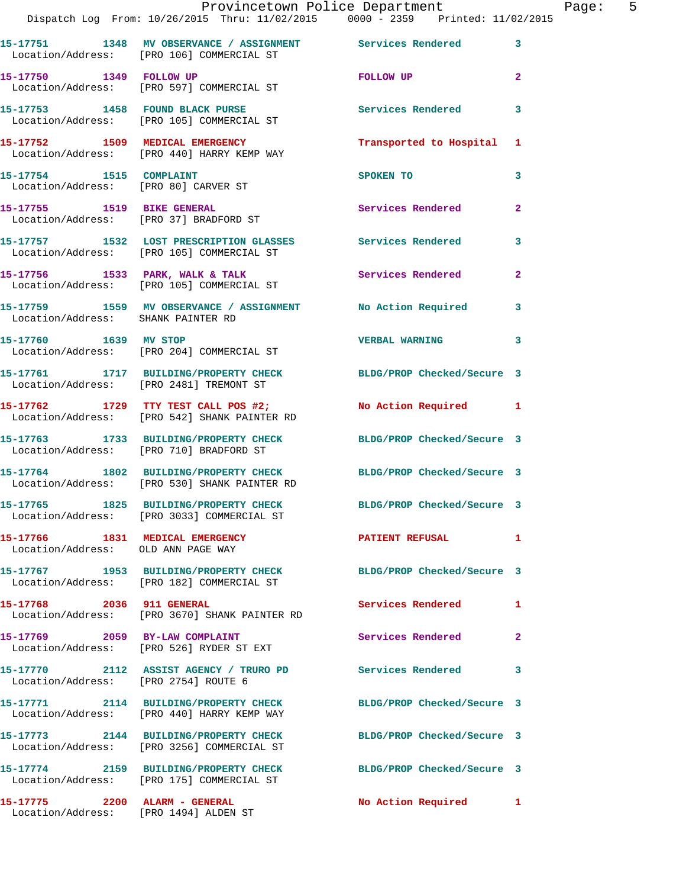|                                                                      | Provincetown Police Department<br>Dispatch Log From: 10/26/2015 Thru: 11/02/2015 0000 - 2359 Printed: 11/02/2015 |                            |              |
|----------------------------------------------------------------------|------------------------------------------------------------------------------------------------------------------|----------------------------|--------------|
|                                                                      | 15-17751 1348 MV OBSERVANCE / ASSIGNMENT Services Rendered<br>Location/Address: [PRO 106] COMMERCIAL ST          |                            | 3            |
| 15-17750 1349 FOLLOW UP                                              | Location/Address: [PRO 597] COMMERCIAL ST                                                                        | FOLLOW UP                  | $\mathbf{2}$ |
|                                                                      | 15-17753 1458 FOUND BLACK PURSE<br>Location/Address: [PRO 105] COMMERCIAL ST                                     | <b>Services Rendered</b>   | 3            |
|                                                                      | 15-17752 1509 MEDICAL EMERGENCY<br>Location/Address: [PRO 440] HARRY KEMP WAY                                    | Transported to Hospital    | 1            |
| 15-17754 1515 COMPLAINT<br>Location/Address: [PRO 80] CARVER ST      |                                                                                                                  | <b>SPOKEN TO</b>           | 3            |
| 15-17755 1519 BIKE GENERAL<br>Location/Address: [PRO 37] BRADFORD ST |                                                                                                                  | <b>Services Rendered</b>   | 2            |
|                                                                      | 15-17757 1532 LOST PRESCRIPTION GLASSES Services Rendered<br>Location/Address: [PRO 105] COMMERCIAL ST           |                            | 3            |
|                                                                      | 15-17756 1533 PARK, WALK & TALK<br>Location/Address: [PRO 105] COMMERCIAL ST                                     | Services Rendered          | $\mathbf{2}$ |
| Location/Address: SHANK PAINTER RD                                   | 15-17759 1559 MV OBSERVANCE / ASSIGNMENT No Action Required                                                      |                            | 3            |
| 15-17760 1639 MV STOP                                                | Location/Address: [PRO 204] COMMERCIAL ST                                                                        | <b>VERBAL WARNING</b>      | 3            |
|                                                                      | 15-17761 1717 BUILDING/PROPERTY CHECK<br>Location/Address: [PRO 2481] TREMONT ST                                 | BLDG/PROP Checked/Secure 3 |              |
|                                                                      | 15-17762 1729 TTY TEST CALL POS #2;<br>Location/Address: [PRO 542] SHANK PAINTER RD                              | No Action Required         | 1            |
|                                                                      | 15-17763 1733 BUILDING/PROPERTY CHECK<br>Location/Address: [PRO 710] BRADFORD ST                                 | BLDG/PROP Checked/Secure 3 |              |
|                                                                      | 15-17764 1802 BUILDING/PROPERTY CHECK<br>Location/Address: [PRO 530] SHANK PAINTER RD                            | BLDG/PROP Checked/Secure 3 |              |
|                                                                      | 15-17765 1825 BUILDING/PROPERTY CHECK<br>Location/Address: [PRO 3033] COMMERCIAL ST                              | BLDG/PROP Checked/Secure 3 |              |
| Location/Address: OLD ANN PAGE WAY                                   | 15-17766 1831 MEDICAL EMERGENCY                                                                                  | <b>PATIENT REFUSAL</b>     | 1            |
|                                                                      | 15-17767 1953 BUILDING/PROPERTY CHECK<br>Location/Address: [PRO 182] COMMERCIAL ST                               | BLDG/PROP Checked/Secure 3 |              |
| 15-17768 2036 911 GENERAL                                            | Location/Address: [PRO 3670] SHANK PAINTER RD                                                                    | Services Rendered          | 1            |
| 15-17769 2059 BY-LAW COMPLAINT                                       | Location/Address: [PRO 526] RYDER ST EXT                                                                         | Services Rendered          | $\mathbf{2}$ |
| Location/Address: [PRO 2754] ROUTE 6                                 | 15-17770 2112 ASSIST AGENCY / TRURO PD Services Rendered                                                         |                            | 3            |
|                                                                      | 15-17771 2114 BUILDING/PROPERTY CHECK BLDG/PROP Checked/Secure 3<br>Location/Address: [PRO 440] HARRY KEMP WAY   |                            |              |
|                                                                      | 15-17773 2144 BUILDING/PROPERTY CHECK<br>Location/Address: [PRO 3256] COMMERCIAL ST                              | BLDG/PROP Checked/Secure 3 |              |
|                                                                      | 15-17774 2159 BUILDING/PROPERTY CHECK<br>Location/Address: [PRO 175] COMMERCIAL ST                               | BLDG/PROP Checked/Secure 3 |              |
|                                                                      |                                                                                                                  | No Action Required 1       |              |

Location/Address: [PRO 1494] ALDEN ST

Page: 5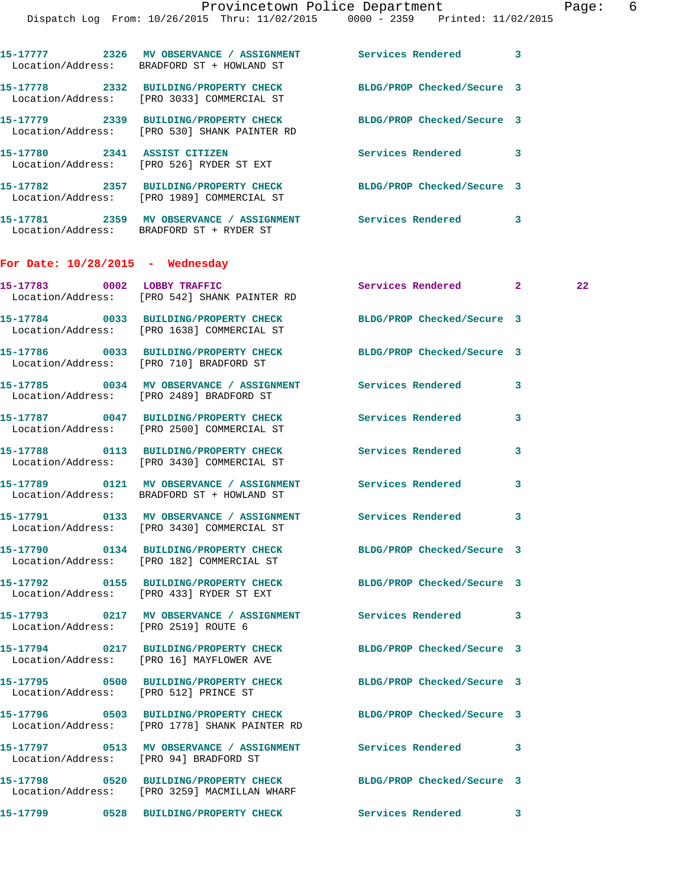|                                    | Dispatch Log From: 10/26/2015 Thru: 11/02/2015 0000 - 2359 Printed: 11/02/2015                                       |                            |              |    |
|------------------------------------|----------------------------------------------------------------------------------------------------------------------|----------------------------|--------------|----|
|                                    | 15-17777 2326 MV OBSERVANCE / ASSIGNMENT Services Rendered 3<br>Location/Address: BRADFORD ST + HOWLAND ST           |                            |              |    |
|                                    | 15-17778 2332 BUILDING/PROPERTY CHECK BLDG/PROP Checked/Secure 3<br>Location/Address: [PRO 3033] COMMERCIAL ST       |                            |              |    |
|                                    | 15-17779 2339 BUILDING/PROPERTY CHECK<br>Location/Address: [PRO 530] SHANK PAINTER RD                                | BLDG/PROP Checked/Secure 3 |              |    |
|                                    | 15-17780 2341 ASSIST CITIZEN<br>Location/Address: [PRO 526] RYDER ST EXT                                             | Services Rendered 3        |              |    |
|                                    | 15-17782 2357 BUILDING/PROPERTY CHECK BLDG/PROP Checked/Secure 3<br>Location/Address: [PRO 1989] COMMERCIAL ST       |                            |              |    |
|                                    | 15-17781 2359 MV OBSERVANCE / ASSIGNMENT Services Rendered 3<br>Location/Address: BRADFORD ST + RYDER ST             |                            |              |    |
| For Date: $10/28/2015$ - Wednesday |                                                                                                                      |                            |              |    |
|                                    | 15-17783 0002 LOBBY TRAFFIC<br>Location/Address: [PRO 542] SHANK PAINTER RD                                          | Services Rendered 2        |              | 22 |
|                                    | 15-17784 0033 BUILDING/PROPERTY CHECK BLDG/PROP Checked/Secure 3<br>Location/Address: [PRO 1638] COMMERCIAL ST       |                            |              |    |
|                                    | 15-17786 0033 BUILDING/PROPERTY CHECK BLDG/PROP Checked/Secure 3<br>Location/Address: [PRO 710] BRADFORD ST          |                            |              |    |
|                                    | 15-17785 0034 MV OBSERVANCE / ASSIGNMENT Services Rendered<br>Location/Address: [PRO 2489] BRADFORD ST               |                            | 3            |    |
|                                    | 15-17787 0047 BUILDING/PROPERTY CHECK<br>Location/Address: [PRO 2500] COMMERCIAL ST                                  | Services Rendered          | 3            |    |
|                                    | 15-17788 0113 BUILDING/PROPERTY CHECK<br>Location/Address: [PRO 3430] COMMERCIAL ST                                  | Services Rendered          | 3            |    |
|                                    | 15-17789      0121   MV OBSERVANCE / ASSIGNMENT      Services Rendered<br>Location/Address: BRADFORD ST + HOWLAND ST |                            | $\mathbf{3}$ |    |
|                                    | 15-17791 0133 MV OBSERVANCE / ASSIGNMENT Services Rendered<br>Location/Address: [PRO 3430] COMMERCIAL ST             |                            |              |    |
|                                    | 15-17790 0134 BUILDING/PROPERTY CHECK<br>Location/Address: [PRO 182] COMMERCIAL ST                                   | BLDG/PROP Checked/Secure 3 |              |    |
|                                    | 15-17792 0155 BUILDING/PROPERTY CHECK<br>Location/Address: [PRO 433] RYDER ST EXT                                    | BLDG/PROP Checked/Secure 3 |              |    |
|                                    | 15-17793 0217 MV OBSERVANCE / ASSIGNMENT Services Rendered<br>Location/Address: [PRO 2519] ROUTE 6                   |                            | 3            |    |
|                                    | 15-17794 0217 BUILDING/PROPERTY CHECK<br>Location/Address: [PRO 16] MAYFLOWER AVE                                    | BLDG/PROP Checked/Secure 3 |              |    |
|                                    | 15-17795 0500 BUILDING/PROPERTY CHECK BLDG/PROP Checked/Secure 3<br>Location/Address: [PRO 512] PRINCE ST            |                            |              |    |
|                                    | 15-17796 0503 BUILDING/PROPERTY CHECK<br>Location/Address: [PRO 1778] SHANK PAINTER RD                               | BLDG/PROP Checked/Secure 3 |              |    |

**15-17797 0513 MV OBSERVANCE / ASSIGNMENT Services Rendered 3**  Location/Address: [PRO 94] BRADFORD ST

**15-17798 0520 BUILDING/PROPERTY CHECK BLDG/PROP Checked/Secure 3**  Location/Address: [PRO 3259] MACMILLAN WHARF

**15-17799 0528 BUILDING/PROPERTY CHECK Services Rendered 3**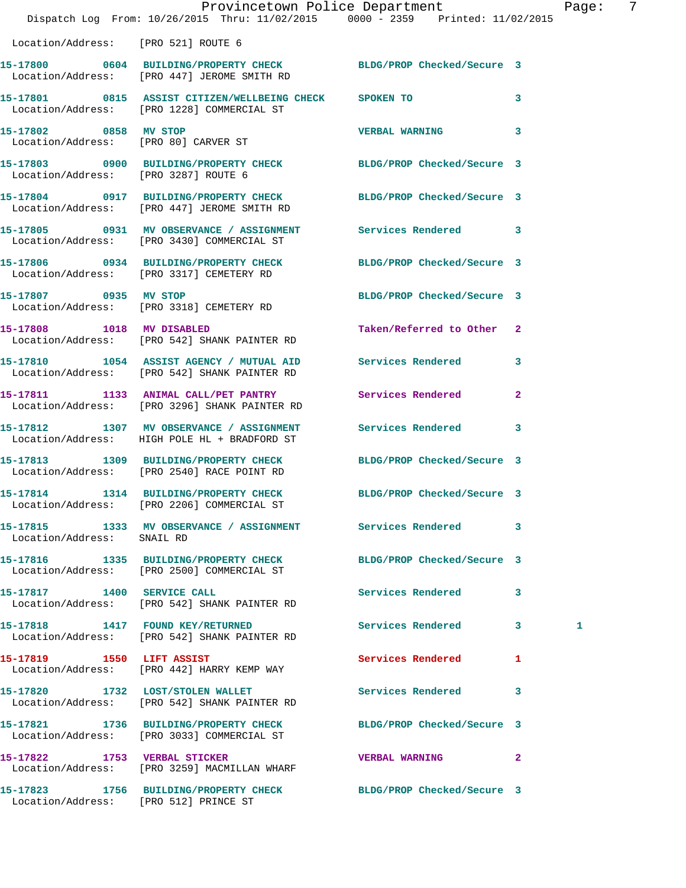|                                       | Provincetown Police Department<br>Dispatch Log From: 10/26/2015 Thru: 11/02/2015 0000 - 2359 Printed: 11/02/2015 |                            |              | Pag |
|---------------------------------------|------------------------------------------------------------------------------------------------------------------|----------------------------|--------------|-----|
| Location/Address: [PRO 521] ROUTE 6   |                                                                                                                  |                            |              |     |
|                                       | 15-17800 0604 BUILDING/PROPERTY CHECK BLDG/PROP Checked/Secure 3<br>Location/Address: [PRO 447] JEROME SMITH RD  |                            |              |     |
|                                       | 15-17801 0815 ASSIST CITIZEN/WELLBEING CHECK SPOKEN TO<br>Location/Address: [PRO 1228] COMMERCIAL ST             |                            | 3            |     |
| 15-17802 0858 MV STOP                 | Location/Address: [PRO 80] CARVER ST                                                                             | <b>VERBAL WARNING</b>      | 3            |     |
| Location/Address: [PRO 3287] ROUTE 6  | 15-17803 0900 BUILDING/PROPERTY CHECK BLDG/PROP Checked/Secure 3                                                 |                            |              |     |
|                                       | 15-17804 0917 BUILDING/PROPERTY CHECK BLDG/PROP Checked/Secure 3<br>Location/Address: [PRO 447] JEROME SMITH RD  |                            |              |     |
|                                       | 15-17805 0931 MV OBSERVANCE / ASSIGNMENT Services Rendered<br>Location/Address: [PRO 3430] COMMERCIAL ST         |                            | 3            |     |
|                                       | 15-17806 0934 BUILDING/PROPERTY CHECK BLDG/PROP Checked/Secure 3<br>Location/Address: [PRO 3317] CEMETERY RD     |                            |              |     |
|                                       | 15-17807 0935 MV STOP<br>Location/Address: [PRO 3318] CEMETERY RD                                                | BLDG/PROP Checked/Secure 3 |              |     |
| 15-17808 1018 MV DISABLED             | Location/Address: [PRO 542] SHANK PAINTER RD                                                                     | Taken/Referred to Other 2  |              |     |
|                                       | 15-17810 1054 ASSIST AGENCY / MUTUAL AID Services Rendered<br>Location/Address: [PRO 542] SHANK PAINTER RD       |                            | 3            |     |
|                                       | 15-17811 1133 ANIMAL CALL/PET PANTRY<br>Location/Address: [PRO 3296] SHANK PAINTER RD                            | Services Rendered          | $\mathbf{2}$ |     |
|                                       | 15-17812 1307 MV OBSERVANCE / ASSIGNMENT Services Rendered<br>Location/Address: HIGH POLE HL + BRADFORD ST       |                            | 3            |     |
|                                       | 15-17813 1309 BUILDING/PROPERTY CHECK BLDG/PROP Checked/Secure 3<br>Location/Address: [PRO 2540] RACE POINT RD   |                            |              |     |
|                                       | 15-17814 1314 BUILDING/PROPERTY CHECK BLDG/PROP Checked/Secure 3<br>Location/Address: [PRO 2206] COMMERCIAL ST   |                            |              |     |
| Location/Address: SNAIL RD            | 15-17815 1333 MV OBSERVANCE / ASSIGNMENT Services Rendered                                                       |                            | 3            |     |
|                                       | 15-17816 1335 BUILDING/PROPERTY CHECK BLDG/PROP Checked/Secure 3<br>Location/Address: [PRO 2500] COMMERCIAL ST   |                            |              |     |
| 15-17817 1400 SERVICE CALL            | Location/Address: [PRO 542] SHANK PAINTER RD                                                                     | Services Rendered          | 3            |     |
|                                       | 15-17818 1417 FOUND KEY/RETURNED<br>Location/Address: [PRO 542] SHANK PAINTER RD                                 | Services Rendered          | 3            | 1   |
| 15-17819 1550 LIFT ASSIST             | Location/Address: [PRO 442] HARRY KEMP WAY                                                                       | Services Rendered          | 1            |     |
|                                       | 15-17820 1732 LOST/STOLEN WALLET<br>Location/Address: [PRO 542] SHANK PAINTER RD                                 | Services Rendered          | 3            |     |
|                                       | 15-17821 1736 BUILDING/PROPERTY CHECK BLDG/PROP Checked/Secure 3<br>Location/Address: [PRO 3033] COMMERCIAL ST   |                            |              |     |
|                                       | 15-17822 1753 VERBAL STICKER<br>Location/Address: [PRO 3259] MACMILLAN WHARF                                     | <b>VERBAL WARNING</b>      | $\mathbf{2}$ |     |
| Location/Address: [PRO 512] PRINCE ST | 15-17823 1756 BUILDING/PROPERTY CHECK BLDG/PROP Checked/Secure 3                                                 |                            |              |     |

Page: 7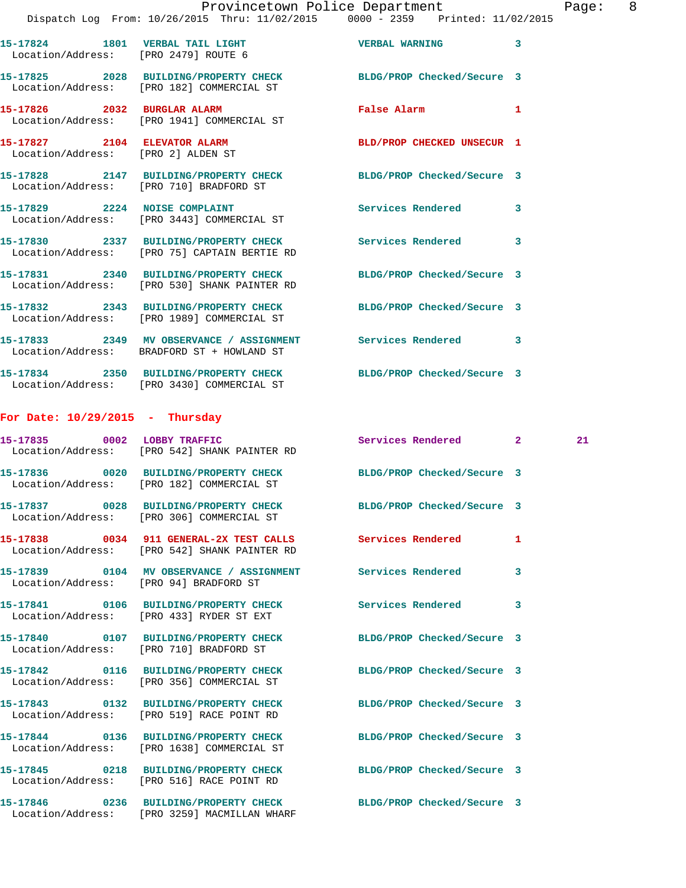|                                        | Dispatch Log From: 10/26/2015 Thru: 11/02/2015 0000 - 2359 Printed: 11/02/2015                                 | Provincetown Police Department                                                                                                 | Page: 8 |  |
|----------------------------------------|----------------------------------------------------------------------------------------------------------------|--------------------------------------------------------------------------------------------------------------------------------|---------|--|
| Location/Address: [PRO 2479] ROUTE 6   | 15-17824 1801 VERBAL TAIL LIGHT 6 VERBAL WARNING 3                                                             |                                                                                                                                |         |  |
|                                        | 15-17825 2028 BUILDING/PROPERTY CHECK BLDG/PROP Checked/Secure 3<br>Location/Address: [PRO 182] COMMERCIAL ST  |                                                                                                                                |         |  |
|                                        | 15-17826 2032 BURGLAR ALARM<br>Location/Address: [PRO 1941] COMMERCIAL ST                                      | False Alarm and the state of the state of the state of the state of the state of the state of the state of the<br>$\mathbf{1}$ |         |  |
|                                        | 15-17827 2104 ELEVATOR ALARM<br>Location/Address: [PRO 2] ALDEN ST                                             | BLD/PROP CHECKED UNSECUR 1                                                                                                     |         |  |
|                                        | 15-17828 2147 BUILDING/PROPERTY CHECK BLDG/PROP Checked/Secure 3<br>Location/Address: [PRO 710] BRADFORD ST    |                                                                                                                                |         |  |
|                                        | 15-17829 2224 NOISE COMPLAINT<br>Location/Address: [PRO 3443] COMMERCIAL ST                                    | Services Rendered 3                                                                                                            |         |  |
|                                        | 15-17830 2337 BUILDING/PROPERTY CHECK Services Rendered 3<br>Location/Address: [PRO 75] CAPTAIN BERTIE RD      |                                                                                                                                |         |  |
|                                        | 15-17831 2340 BUILDING/PROPERTY CHECK<br>Location/Address: [PRO 530] SHANK PAINTER RD                          | BLDG/PROP Checked/Secure 3                                                                                                     |         |  |
|                                        | 15-17832 2343 BUILDING/PROPERTY CHECK<br>Location/Address: [PRO 1989] COMMERCIAL ST                            | BLDG/PROP Checked/Secure 3                                                                                                     |         |  |
|                                        | 15-17833 2349 MV OBSERVANCE / ASSIGNMENT Services Rendered 3<br>Location/Address: BRADFORD ST + HOWLAND ST     |                                                                                                                                |         |  |
|                                        | 15-17834 2350 BUILDING/PROPERTY CHECK BLDG/PROP Checked/Secure 3<br>Location/Address: [PRO 3430] COMMERCIAL ST |                                                                                                                                |         |  |
| For Date: $10/29/2015$ - Thursday      |                                                                                                                |                                                                                                                                |         |  |
| 15-17835 0002 LOBBY TRAFFIC            | Location/Address: [PRO 542] SHANK PAINTER RD                                                                   | Services Rendered 2                                                                                                            | 21      |  |
|                                        | 15-17836 0020 BUILDING/PROPERTY CHECK BLDG/PROP Checked/Secure 3<br>Location/Address: [PRO 182] COMMERCIAL ST  |                                                                                                                                |         |  |
|                                        | 15-17837 0028 BUILDING/PROPERTY CHECK<br>Location/Address: [PRO 306] COMMERCIAL ST                             | BLDG/PROP Checked/Secure 3                                                                                                     |         |  |
|                                        | 15-17838 0034 911 GENERAL-2X TEST CALLS<br>Location/Address: [PRO 542] SHANK PAINTER RD                        | <b>Services Rendered</b><br>1                                                                                                  |         |  |
| Location/Address: [PRO 94] BRADFORD ST | 15-17839 0104 MV OBSERVANCE / ASSIGNMENT                                                                       | Services Rendered<br>3                                                                                                         |         |  |
|                                        | 15-17841 0106 BUILDING/PROPERTY CHECK<br>Location/Address: [PRO 433] RYDER ST EXT                              | <b>Services Rendered</b><br>3                                                                                                  |         |  |
|                                        | 15-17840 0107 BUILDING/PROPERTY CHECK<br>Location/Address: [PRO 710] BRADFORD ST                               | BLDG/PROP Checked/Secure 3                                                                                                     |         |  |
|                                        | 15-17842 0116 BUILDING/PROPERTY CHECK<br>Location/Address: [PRO 356] COMMERCIAL ST                             | BLDG/PROP Checked/Secure 3                                                                                                     |         |  |
|                                        | 15-17843 0132 BUILDING/PROPERTY CHECK<br>Location/Address: [PRO 519] RACE POINT RD                             | BLDG/PROP Checked/Secure 3                                                                                                     |         |  |

Location/Address: [PRO 1638] COMMERCIAL ST

Location/Address: [PRO 516] RACE POINT RD

**15-17846 0236 BUILDING/PROPERTY CHECK BLDG/PROP Checked/Secure 3**  Location/Address: [PRO 3259] MACMILLAN WHARF

**15-17844 0136 BUILDING/PROPERTY CHECK BLDG/PROP Checked/Secure 3** 

**15-17845 0218 BUILDING/PROPERTY CHECK BLDG/PROP Checked/Secure 3**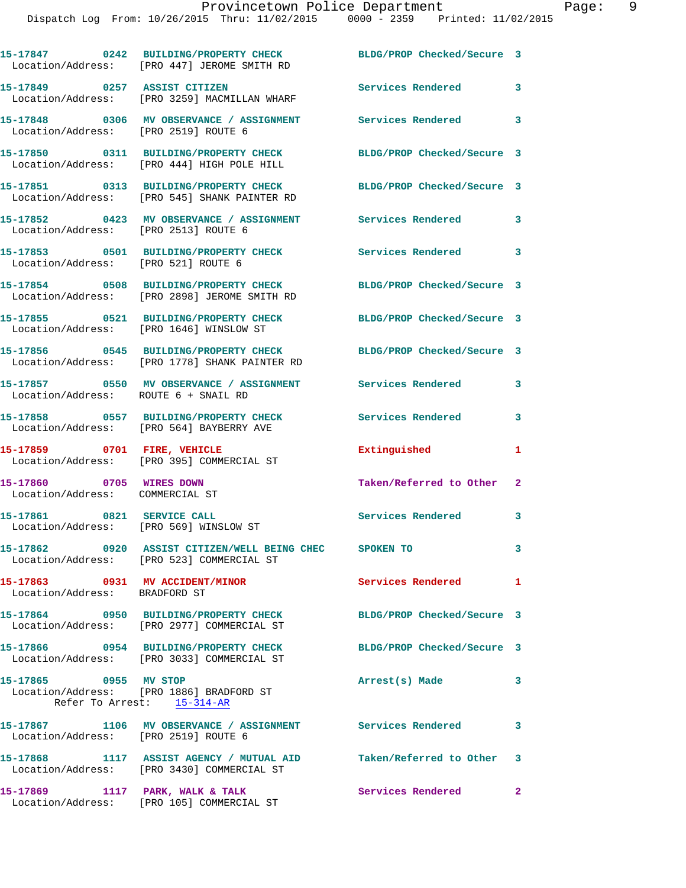|                                                                      | 15-17847 0242 BUILDING/PROPERTY CHECK<br>Location/Address: [PRO 447] JEROME SMITH RD                | BLDG/PROP Checked/Secure 3                      |                         |
|----------------------------------------------------------------------|-----------------------------------------------------------------------------------------------------|-------------------------------------------------|-------------------------|
| 15-17849 0257 ASSIST CITIZEN                                         | Location/Address: [PRO 3259] MACMILLAN WHARF                                                        | Services Rendered                               | $\mathbf{3}$            |
| Location/Address: [PRO 2519] ROUTE 6                                 | 15-17848 0306 MV OBSERVANCE / ASSIGNMENT                                                            | Services Rendered 3                             |                         |
|                                                                      | 15-17850 0311 BUILDING/PROPERTY CHECK<br>Location/Address: [PRO 444] HIGH POLE HILL                 | BLDG/PROP Checked/Secure 3                      |                         |
|                                                                      | 15-17851 0313 BUILDING/PROPERTY CHECK<br>Location/Address: [PRO 545] SHANK PAINTER RD               | BLDG/PROP Checked/Secure 3                      |                         |
| Location/Address: [PRO 2513] ROUTE 6                                 | 15-17852 0423 MV OBSERVANCE / ASSIGNMENT Services Rendered                                          |                                                 | $\mathbf{3}$            |
| Location/Address: [PRO 521] ROUTE 6                                  | 15-17853 0501 BUILDING/PROPERTY CHECK                                                               | $\overline{\phantom{a}}$ 3<br>Services Rendered |                         |
|                                                                      | 15-17854 0508 BUILDING/PROPERTY CHECK<br>Location/Address: [PRO 2898] JEROME SMITH RD               | BLDG/PROP Checked/Secure 3                      |                         |
|                                                                      | 15-17855 0521 BUILDING/PROPERTY CHECK<br>Location/Address: [PRO 1646] WINSLOW ST                    | BLDG/PROP Checked/Secure 3                      |                         |
|                                                                      | 15-17856 0545 BUILDING/PROPERTY CHECK<br>Location/Address: [PRO 1778] SHANK PAINTER RD              | BLDG/PROP Checked/Secure 3                      |                         |
| Location/Address: ROUTE 6 + SNAIL RD                                 | 15-17857 0550 MV OBSERVANCE / ASSIGNMENT Services Rendered                                          |                                                 | 3                       |
|                                                                      | 15-17858 0557 BUILDING/PROPERTY CHECK<br>Location/Address: [PRO 564] BAYBERRY AVE                   | Services Rendered                               | 3                       |
| 15-17859 0701 FIRE, VEHICLE                                          | Location/Address: [PRO 395] COMMERCIAL ST                                                           | Extinguished                                    | 1                       |
| 15-17860 0705 WIRES DOWN<br>Location/Address: COMMERCIAL ST          |                                                                                                     | Taken/Referred to Other 2                       |                         |
| 15-17861 0821 SERVICE CALL<br>Location/Address: [PRO 569] WINSLOW ST |                                                                                                     | Services Rendered                               | $\mathbf{3}$            |
|                                                                      | 15-17862 0920 ASSIST CITIZEN/WELL BEING CHEC SPOKEN TO<br>Location/Address: [PRO 523] COMMERCIAL ST |                                                 | 3                       |
| 15-17863 0931 MV ACCIDENT/MINOR<br>Location/Address: BRADFORD ST     |                                                                                                     | Services Rendered                               | 1                       |
|                                                                      | 15-17864 0950 BUILDING/PROPERTY CHECK<br>Location/Address: [PRO 2977] COMMERCIAL ST                 | BLDG/PROP Checked/Secure 3                      |                         |
|                                                                      | 15-17866 0954 BUILDING/PROPERTY CHECK<br>Location/Address: [PRO 3033] COMMERCIAL ST                 | BLDG/PROP Checked/Secure 3                      |                         |
| 15-17865 0955 MV STOP                                                | Location/Address: [PRO 1886] BRADFORD ST<br>Refer To Arrest: 15-314-AR                              | Arrest(s) Made                                  | $\mathbf{3}$            |
| Location/Address: [PRO 2519] ROUTE 6                                 | 15-17867 1106 MV OBSERVANCE / ASSIGNMENT Services Rendered 3                                        |                                                 |                         |
|                                                                      | 15-17868 1117 ASSIST AGENCY / MUTUAL AID<br>Location/Address: [PRO 3430] COMMERCIAL ST              | Taken/Referred to Other 3                       |                         |
| 15-17869 1117 PARK, WALK & TALK                                      |                                                                                                     | Services Rendered                               | $\overline{\mathbf{2}}$ |

Location/Address: [PRO 105] COMMERCIAL ST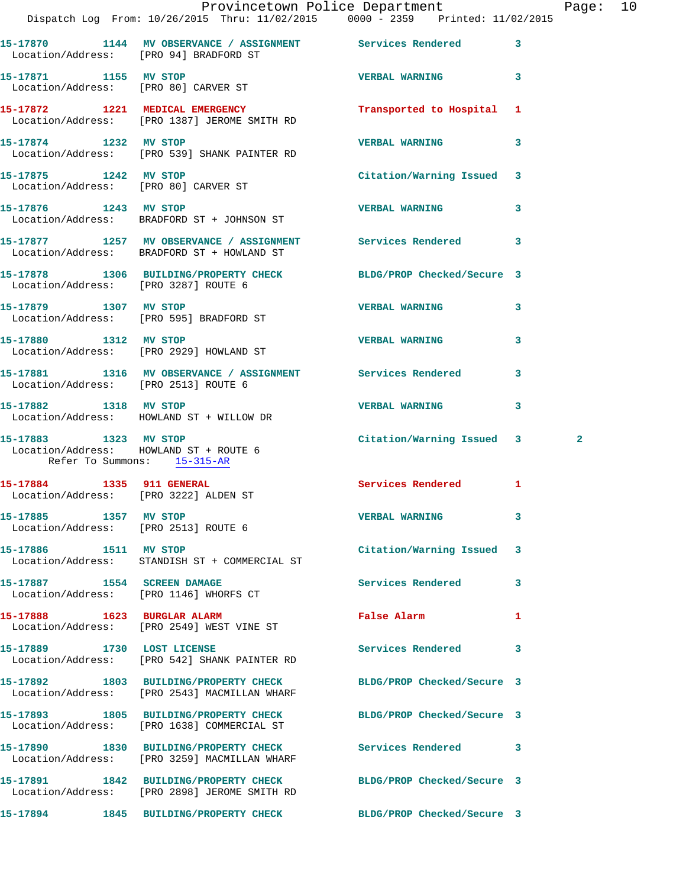|                                                                                                | Dispatch Log From: 10/26/2015 Thru: 11/02/2015 0000 - 2359 Printed: 11/02/2015                                 | Provincetown Police Department Page: 10 |   |              |  |
|------------------------------------------------------------------------------------------------|----------------------------------------------------------------------------------------------------------------|-----------------------------------------|---|--------------|--|
| Location/Address: [PRO 94] BRADFORD ST                                                         | 15-17870 1144 MV OBSERVANCE / ASSIGNMENT Services Rendered 3                                                   |                                         |   |              |  |
| 15-17871 1155 MV STOP                                                                          | Location/Address: [PRO 80] CARVER ST                                                                           | <b>VERBAL WARNING</b> 3                 |   |              |  |
|                                                                                                | 15-17872   1221   MEDICAL EMERGENCY   ITALSported to Hospital 1   Location/Address: [PRO 1387] JEROME SMITH RD |                                         |   |              |  |
| 15-17874 1232 MV STOP                                                                          | Location/Address: [PRO 539] SHANK PAINTER RD                                                                   | <b>VERBAL WARNING</b>                   | 3 |              |  |
|                                                                                                |                                                                                                                | Citation/Warning Issued 3               |   |              |  |
| 15-17876 1243 MV STOP                                                                          | Location/Address: BRADFORD ST + JOHNSON ST                                                                     | <b>VERBAL WARNING</b>                   | 3 |              |  |
|                                                                                                | 15-17877 1257 MV OBSERVANCE / ASSIGNMENT Services Rendered 3<br>Location/Address: BRADFORD ST + HOWLAND ST     |                                         |   |              |  |
| Location/Address: [PRO 3287] ROUTE 6                                                           | 15-17878 1306 BUILDING/PROPERTY CHECK BLDG/PROP Checked/Secure 3                                               |                                         |   |              |  |
|                                                                                                | 15-17879 1307 MV STOP<br>Location/Address: [PRO 595] BRADFORD ST                                               | <b>VERBAL WARNING 3</b>                 |   |              |  |
|                                                                                                | 15-17880 1312 MV STOP<br>Location/Address: [PRO 2929] HOWLAND ST                                               | <b>VERBAL WARNING</b>                   | 3 |              |  |
| Location/Address: [PRO 2513] ROUTE 6                                                           | 15-17881 1316 MV OBSERVANCE / ASSIGNMENT Services Rendered                                                     |                                         | 3 |              |  |
|                                                                                                | 15-17882 1318 MV STOP<br>Location/Address: HOWLAND ST + WILLOW DR                                              | <b>VERBAL WARNING</b>                   | 3 |              |  |
| 15-17883 1323 MV STOP<br>Location/Address: HOWLAND ST + ROUTE 6<br>Refer To Summons: 15-315-AR |                                                                                                                | Citation/Warning Issued 3               |   | $\mathbf{2}$ |  |
| 15-17884 1335 911 GENERAL                                                                      | Location/Address: [PRO 3222] ALDEN ST                                                                          | Services Rendered 1                     |   |              |  |
|                                                                                                | Location/Address: [PRO 2513] ROUTE 6                                                                           | <b>VERBAL WARNING</b>                   | 3 |              |  |
| 15-17886 1511 MV STOP                                                                          | Location/Address: STANDISH ST + COMMERCIAL ST                                                                  | Citation/Warning Issued 3               |   |              |  |
| 15-17887 1554 SCREEN DAMAGE                                                                    | Location/Address: [PRO 1146] WHORFS CT                                                                         | Services Rendered                       | 3 |              |  |
|                                                                                                | 15-17888 1623 BURGLAR ALARM<br>Location/Address: [PRO 2549] WEST VINE ST                                       | False Alarm                             | 1 |              |  |
| 15-17889 1730 LOST LICENSE                                                                     | Location/Address: [PRO 542] SHANK PAINTER RD                                                                   | Services Rendered                       | 3 |              |  |
|                                                                                                | 15-17892 1803 BUILDING/PROPERTY CHECK<br>Location/Address: [PRO 2543] MACMILLAN WHARF                          | BLDG/PROP Checked/Secure 3              |   |              |  |
|                                                                                                | 15-17893 1805 BUILDING/PROPERTY CHECK BLDG/PROP Checked/Secure 3<br>Location/Address: [PRO 1638] COMMERCIAL ST |                                         |   |              |  |
|                                                                                                | 15-17890 1830 BUILDING/PROPERTY CHECK<br>Location/Address: [PRO 3259] MACMILLAN WHARF                          | Services Rendered 3                     |   |              |  |
|                                                                                                | 15-17891 1842 BUILDING/PROPERTY CHECK<br>Location/Address: [PRO 2898] JEROME SMITH RD                          | BLDG/PROP Checked/Secure 3              |   |              |  |
|                                                                                                | 15-17894 1845 BUILDING/PROPERTY CHECK BLDG/PROP Checked/Secure 3                                               |                                         |   |              |  |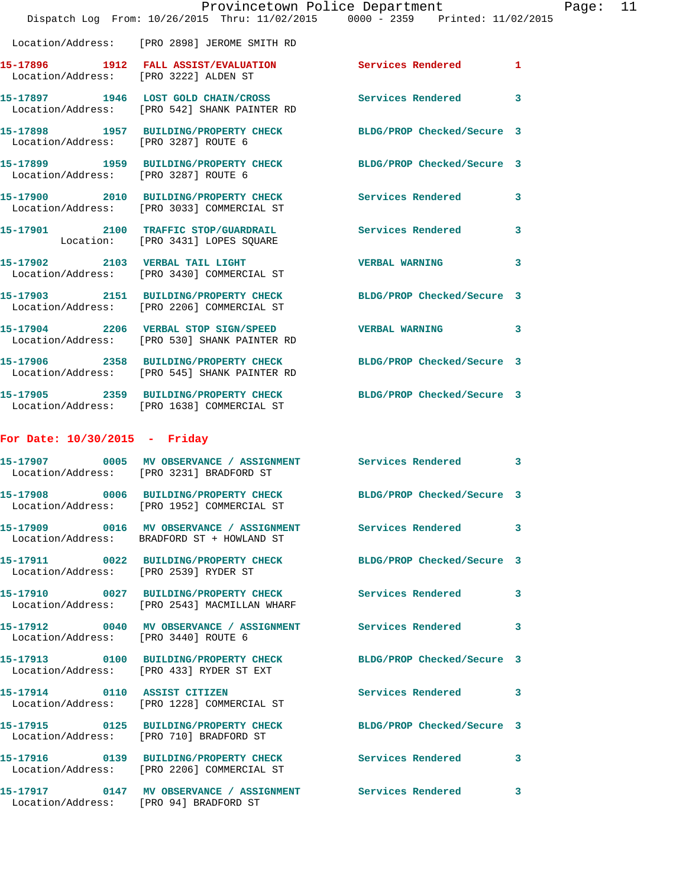|                                        |                                                                                       | Provincetown Police Department<br>Dispatch Log From: 10/26/2015 Thru: 11/02/2015 0000 - 2359 Printed: 11/02/2015 |   |
|----------------------------------------|---------------------------------------------------------------------------------------|------------------------------------------------------------------------------------------------------------------|---|
|                                        | Location/Address: [PRO 2898] JEROME SMITH RD                                          |                                                                                                                  |   |
|                                        | 15-17896 1912 FALL ASSIST/EVALUATION<br>Location/Address: [PRO 3222] ALDEN ST         | <b>Services Rendered</b>                                                                                         | 1 |
|                                        | 15-17897 1946 LOST GOLD CHAIN/CROSS<br>Location/Address: [PRO 542] SHANK PAINTER RD   | <b>Services Rendered</b>                                                                                         | 3 |
|                                        | 15-17898 1957 BUILDING/PROPERTY CHECK<br>Location/Address: [PRO 3287] ROUTE 6         | BLDG/PROP Checked/Secure 3                                                                                       |   |
| Location/Address: [PRO 3287] ROUTE 6   | 15-17899 1959 BUILDING/PROPERTY CHECK                                                 | BLDG/PROP Checked/Secure 3                                                                                       |   |
|                                        | 15-17900 2010 BUILDING/PROPERTY CHECK<br>Location/Address: [PRO 3033] COMMERCIAL ST   | <b>Services Rendered</b>                                                                                         | 3 |
|                                        | 15-17901 2100 TRAFFIC STOP/GUARDRAIL<br>Location: [PRO 3431] LOPES SQUARE             | <b>Services Rendered</b>                                                                                         | 3 |
|                                        | 15-17902 2103 VERBAL TAIL LIGHT<br>Location/Address: [PRO 3430] COMMERCIAL ST         | <b>VERBAL WARNING</b>                                                                                            | 3 |
|                                        | Location/Address: [PRO 2206] COMMERCIAL ST                                            | 15-17903 2151 BUILDING/PROPERTY CHECK BLDG/PROP Checked/Secure 3                                                 |   |
|                                        | 15-17904 2206 VERBAL STOP SIGN/SPEED<br>Location/Address: [PRO 530] SHANK PAINTER RD  | <b>VERBAL WARNING</b>                                                                                            | 3 |
|                                        | 15-17906 2358 BUILDING/PROPERTY CHECK<br>Location/Address: [PRO 545] SHANK PAINTER RD | BLDG/PROP Checked/Secure 3                                                                                       |   |
|                                        |                                                                                       | 15-17905 2359 BUILDING/PROPERTY CHECK BLDG/PROP Checked/Secure 3<br>Location/Address: [PRO 1638] COMMERCIAL ST   |   |
| For Date: $10/30/2015$ - Friday        |                                                                                       |                                                                                                                  |   |
|                                        | Location/Address: [PRO 3231] BRADFORD ST                                              | 15-17907 0005 MV OBSERVANCE / ASSIGNMENT Services Rendered                                                       | 3 |
|                                        | 15-17908 0006 BUILDING/PROPERTY CHECK<br>Location/Address: [PRO 1952] COMMERCIAL ST   | BLDG/PROP Checked/Secure 3                                                                                       |   |
|                                        | Location/Address: BRADFORD ST + HOWLAND ST                                            | 15-17909 0016 MV OBSERVANCE / ASSIGNMENT Services Rendered                                                       | 3 |
| Location/Address: [PRO 2539] RYDER ST  |                                                                                       | 15-17911 0022 BUILDING/PROPERTY CHECK BLDG/PROP Checked/Secure 3                                                 |   |
|                                        | 15-17910 0027 BUILDING/PROPERTY CHECK<br>Location/Address: [PRO 2543] MACMILLAN WHARF | <b>Services Rendered</b>                                                                                         | 3 |
| Location/Address: [PRO 3440] ROUTE 6   | 15-17912 0040 MV OBSERVANCE / ASSIGNMENT Services Rendered                            |                                                                                                                  | 3 |
|                                        | Location/Address: [PRO 433] RYDER ST EXT                                              | 15-17913 0100 BUILDING/PROPERTY CHECK BLDG/PROP Checked/Secure 3                                                 |   |
|                                        | 15-17914 0110 ASSIST CITIZEN<br>Location/Address: [PRO 1228] COMMERCIAL ST            | <b>Services Rendered</b>                                                                                         | 3 |
|                                        | Location/Address: [PRO 710] BRADFORD ST                                               | 15-17915 0125 BUILDING/PROPERTY CHECK BLDG/PROP Checked/Secure 3                                                 |   |
|                                        | 15-17916 0139 BUILDING/PROPERTY CHECK<br>Location/Address: [PRO 2206] COMMERCIAL ST   | Services Rendered                                                                                                | 3 |
| Location/Address: [PRO 94] BRADFORD ST |                                                                                       | 15-17917 0147 MV OBSERVANCE / ASSIGNMENT Services Rendered                                                       | 3 |

Page:  $11$ <br> $15$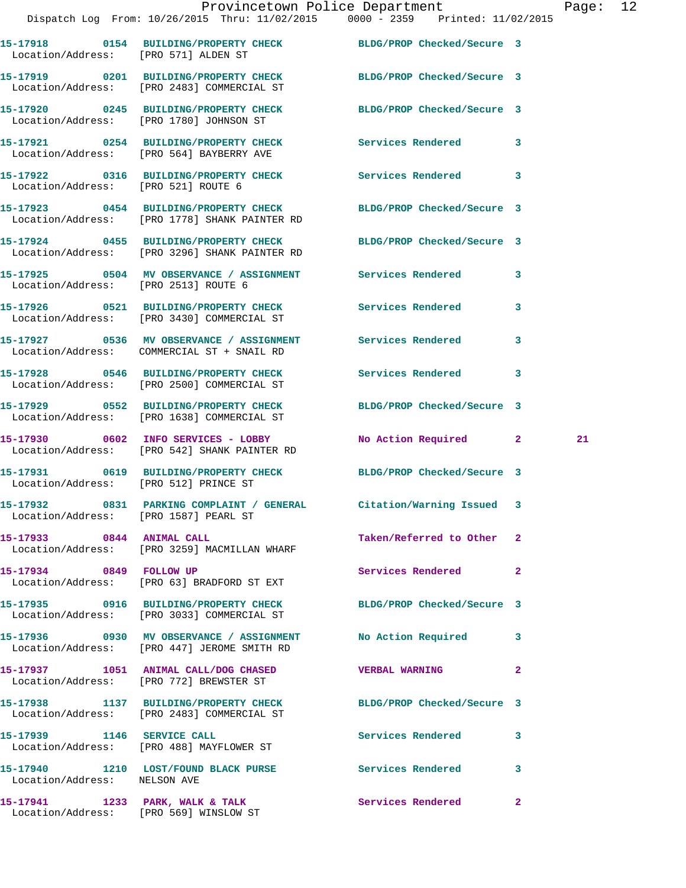|                                       | Provincetown Police Department<br>Dispatch Log From: 10/26/2015 Thru: 11/02/2015 0000 - 2359 Printed: 11/02/2015  |                           |              | Page: 12 |  |
|---------------------------------------|-------------------------------------------------------------------------------------------------------------------|---------------------------|--------------|----------|--|
| Location/Address: [PRO 571] ALDEN ST  | 15-17918 0154 BUILDING/PROPERTY CHECK BLDG/PROP Checked/Secure 3                                                  |                           |              |          |  |
|                                       | 15-17919 0201 BUILDING/PROPERTY CHECK BLDG/PROP Checked/Secure 3<br>Location/Address: [PRO 2483] COMMERCIAL ST    |                           |              |          |  |
|                                       | 15-17920 0245 BUILDING/PROPERTY CHECK BLDG/PROP Checked/Secure 3<br>Location/Address: [PRO 1780] JOHNSON ST       |                           |              |          |  |
|                                       | 15-17921 0254 BUILDING/PROPERTY CHECK Services Rendered 3<br>Location/Address: [PRO 564] BAYBERRY AVE             |                           |              |          |  |
| Location/Address: [PRO 521] ROUTE 6   | 15-17922 0316 BUILDING/PROPERTY CHECK Services Rendered 3                                                         |                           |              |          |  |
|                                       | 15-17923 0454 BUILDING/PROPERTY CHECK BLDG/PROP Checked/Secure 3<br>Location/Address: [PRO 1778] SHANK PAINTER RD |                           |              |          |  |
|                                       | 15-17924 0455 BUILDING/PROPERTY CHECK BLDG/PROP Checked/Secure 3<br>Location/Address: [PRO 3296] SHANK PAINTER RD |                           |              |          |  |
| Location/Address: [PRO 2513] ROUTE 6  | 15-17925 0504 MV OBSERVANCE / ASSIGNMENT Services Rendered 3                                                      |                           |              |          |  |
|                                       | 15-17926 0521 BUILDING/PROPERTY CHECK Services Rendered<br>Location/Address: [PRO 3430] COMMERCIAL ST             |                           | $\mathbf{3}$ |          |  |
|                                       | 15-17927 0536 MV OBSERVANCE / ASSIGNMENT Services Rendered 3<br>Location/Address: COMMERCIAL ST + SNAIL RD        |                           |              |          |  |
|                                       | 15-17928 0546 BUILDING/PROPERTY CHECK<br>Location/Address: [PRO 2500] COMMERCIAL ST                               | Services Rendered 3       |              |          |  |
|                                       | 15-17929 0552 BUILDING/PROPERTY CHECK BLDG/PROP Checked/Secure 3<br>Location/Address: [PRO 1638] COMMERCIAL ST    |                           |              |          |  |
|                                       | 15-17930 0602 INFO SERVICES - LOBBY<br>Location/Address: [PRO 542] SHANK PAINTER RD                               | No Action Required 2      |              | 21       |  |
| Location/Address: [PRO 512] PRINCE ST | 15-17931 0619 BUILDING/PROPERTY CHECK BLDG/PROP Checked/Secure 3                                                  |                           |              |          |  |
|                                       | 15-17932 0831 PARKING COMPLAINT / GENERAL Citation/Warning Issued 3<br>Location/Address: [PRO 1587] PEARL ST      |                           |              |          |  |
| 15-17933 0844 ANIMAL CALL             | Location/Address: [PRO 3259] MACMILLAN WHARF                                                                      | Taken/Referred to Other 2 |              |          |  |
|                                       | 15-17934 0849 FOLLOW UP<br>Location/Address: [PRO 63] BRADFORD ST EXT                                             | Services Rendered         | $\mathbf{2}$ |          |  |
|                                       | 15-17935 0916 BUILDING/PROPERTY CHECK BLDG/PROP Checked/Secure 3<br>Location/Address: [PRO 3033] COMMERCIAL ST    |                           |              |          |  |
|                                       | 15-17936 0930 MV OBSERVANCE / ASSIGNMENT<br>Location/Address: [PRO 447] JEROME SMITH RD                           | No Action Required 3      |              |          |  |
|                                       | 15-17937 1051 ANIMAL CALL/DOG CHASED VERBAL WARNING<br>Location/Address: [PRO 772] BREWSTER ST                    |                           | $\mathbf{2}$ |          |  |
|                                       | 15-17938 1137 BUILDING/PROPERTY CHECK BLDG/PROP Checked/Secure 3<br>Location/Address: [PRO 2483] COMMERCIAL ST    |                           |              |          |  |
| 15-17939 1146 SERVICE CALL            | Location/Address: [PRO 488] MAYFLOWER ST                                                                          | Services Rendered 3       |              |          |  |
| Location/Address: NELSON AVE          | 15-17940 1210 LOST/FOUND BLACK PURSE Services Rendered 3                                                          |                           |              |          |  |
|                                       |                                                                                                                   |                           |              |          |  |

**15-17941 1233 PARK, WALK & TALK Services Rendered 2** 

Location/Address: [PRO 569] WINSLOW ST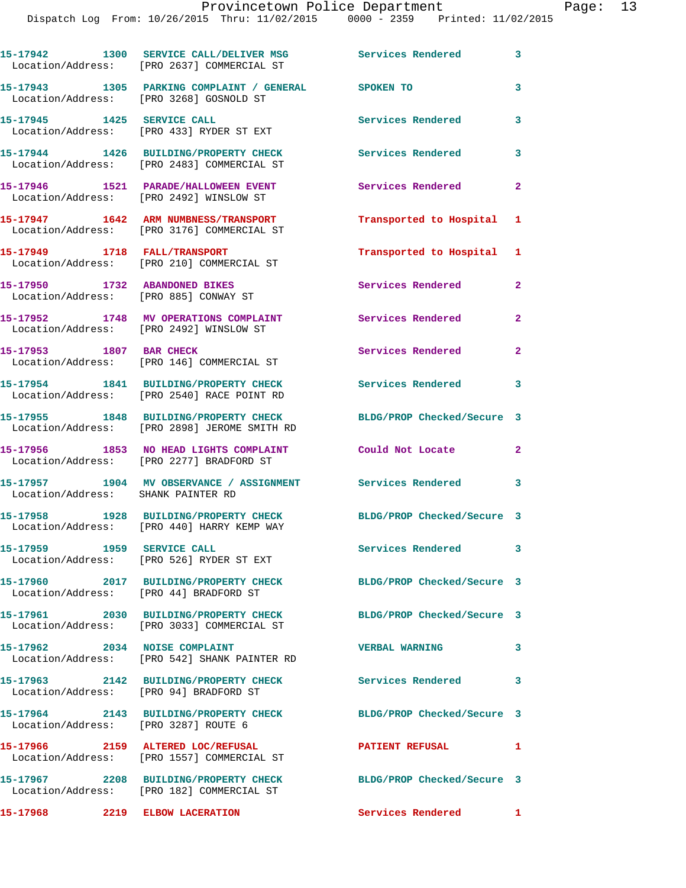|                                                                        | 15-17942 1300 SERVICE CALL/DELIVER MSG Services Rendered<br>Location/Address: [PRO 2637] COMMERCIAL ST |                                                 | 3              |
|------------------------------------------------------------------------|--------------------------------------------------------------------------------------------------------|-------------------------------------------------|----------------|
|                                                                        | 15-17943 1305 PARKING COMPLAINT / GENERAL SPOKEN TO<br>Location/Address: [PRO 3268] GOSNOLD ST         |                                                 | 3              |
|                                                                        | 15-17945 1425 SERVICE CALL<br>Location/Address: [PRO 433] RYDER ST EXT                                 | Services Rendered                               | 3              |
|                                                                        | 15-17944 1426 BUILDING/PROPERTY CHECK<br>Location/Address: [PRO 2483] COMMERCIAL ST                    | <b>Services Rendered</b>                        | 3              |
|                                                                        | 15-17946 1521 PARADE/HALLOWEEN EVENT<br>Location/Address: [PRO 2492] WINSLOW ST                        | Services Rendered                               | $\overline{2}$ |
|                                                                        | 15-17947 1642 ARM NUMBNESS/TRANSPORT<br>Location/Address: [PRO 3176] COMMERCIAL ST                     | Transported to Hospital 1                       |                |
|                                                                        | 15-17949 1718 FALL/TRANSPORT<br>Location/Address: [PRO 210] COMMERCIAL ST                              | Transported to Hospital 1                       |                |
| 15-17950 1732 ABANDONED BIKES<br>Location/Address: [PRO 885] CONWAY ST |                                                                                                        | Services Rendered                               | $\mathbf{2}$   |
|                                                                        | 15-17952 1748 MV OPERATIONS COMPLAINT<br>Location/Address: [PRO 2492] WINSLOW ST                       | Services Rendered                               | $\overline{2}$ |
| 15-17953 1807 BAR CHECK                                                | Location/Address: [PRO 146] COMMERCIAL ST                                                              | Services Rendered                               | $\overline{a}$ |
|                                                                        | 15-17954 1841 BUILDING/PROPERTY CHECK<br>Location/Address: [PRO 2540] RACE POINT RD                    | Services Rendered 3                             |                |
|                                                                        | 15-17955 1848 BUILDING/PROPERTY CHECK<br>Location/Address: [PRO 2898] JEROME SMITH RD                  | BLDG/PROP Checked/Secure 3                      |                |
|                                                                        | 15-17956 1853 NO HEAD LIGHTS COMPLAINT<br>Location/Address: [PRO 2277] BRADFORD ST                     | Could Not Locate                                | $\mathbf{2}$   |
| Location/Address: SHANK PAINTER RD                                     | 15-17957 1904 MV OBSERVANCE / ASSIGNMENT Services Rendered 3                                           |                                                 |                |
|                                                                        | 15-17958 1928 BUILDING/PROPERTY CHECK<br>Location/Address: [PRO 440] HARRY KEMP WAY                    | BLDG/PROP Checked/Secure 3                      |                |
| 15-17959 1959 SERVICE CALL                                             | Location/Address: [PRO 526] RYDER ST EXT                                                               | Services Rendered 3                             |                |
| Location/Address: [PRO 44] BRADFORD ST                                 | 15-17960 2017 BUILDING/PROPERTY CHECK                                                                  | BLDG/PROP Checked/Secure 3                      |                |
|                                                                        | 15-17961 2030 BUILDING/PROPERTY CHECK<br>Location/Address: [PRO 3033] COMMERCIAL ST                    | BLDG/PROP Checked/Secure 3                      |                |
| 15-17962 2034 NOISE COMPLAINT                                          | Location/Address: [PRO 542] SHANK PAINTER RD                                                           | $\sim$ $\sim$ $\sim$ 3<br><b>VERBAL WARNING</b> |                |
| Location/Address: [PRO 94] BRADFORD ST                                 | 15-17963 2142 BUILDING/PROPERTY CHECK                                                                  | Services Rendered                               | 3              |
| Location/Address: [PRO 3287] ROUTE 6                                   | 15-17964 2143 BUILDING/PROPERTY CHECK BLDG/PROP Checked/Secure 3                                       |                                                 |                |
|                                                                        | 15-17966 2159 ALTERED LOC/REFUSAL<br>Location/Address: [PRO 1557] COMMERCIAL ST                        | <b>PATIENT REFUSAL</b>                          | 1              |
|                                                                        | 15-17967 2208 BUILDING/PROPERTY CHECK<br>Location/Address: [PRO 182] COMMERCIAL ST                     | BLDG/PROP Checked/Secure 3                      |                |
| 15-17968 2219 ELBOW LACERATION                                         |                                                                                                        | Services Rendered 1                             |                |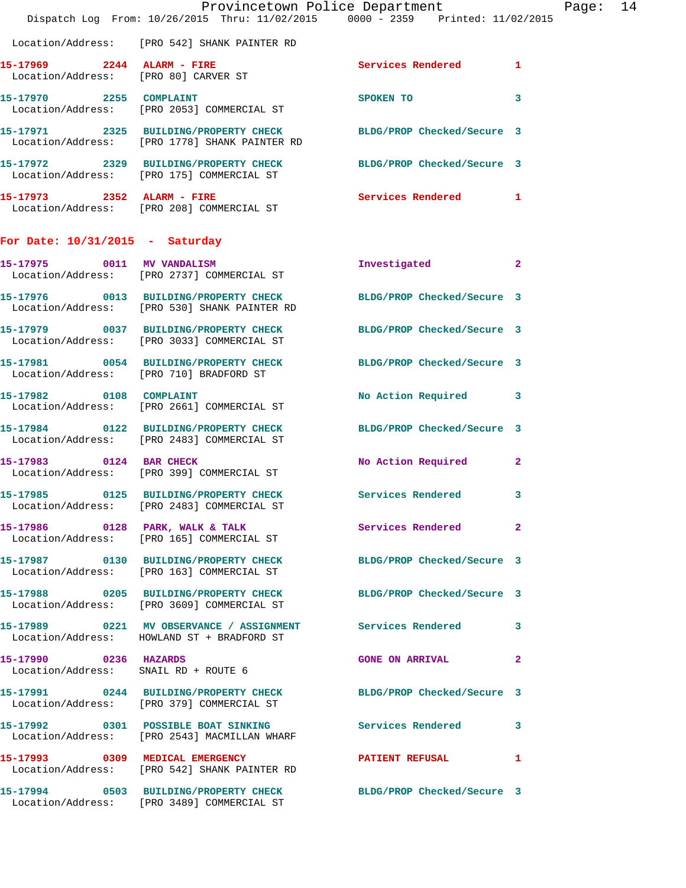|                                   | Dispatch Log From: 10/26/2015 Thru: 11/02/2015 0000 - 2359 Printed: 11/02/2015                                    | Provincetown Police Department | Page: 14     |
|-----------------------------------|-------------------------------------------------------------------------------------------------------------------|--------------------------------|--------------|
|                                   | Location/Address: [PRO 542] SHANK PAINTER RD                                                                      |                                |              |
|                                   | 15-17969 2244 ALARM - FIRE<br>Location/Address: [PRO 80] CARVER ST                                                | Services Rendered 1            |              |
|                                   | 15-17970 2255 COMPLAINT<br>Location/Address: [PRO 2053] COMMERCIAL ST                                             | SPOKEN TO                      | 3            |
|                                   | 15-17971 2325 BUILDING/PROPERTY CHECK BLDG/PROP Checked/Secure 3<br>Location/Address: [PRO 1778] SHANK PAINTER RD |                                |              |
|                                   | 15-17972 2329 BUILDING/PROPERTY CHECK BLDG/PROP Checked/Secure 3<br>Location/Address: [PRO 175] COMMERCIAL ST     |                                |              |
| 15-17973 2352 ALARM - FIRE        | Location/Address: [PRO 208] COMMERCIAL ST                                                                         | Services Rendered 1            |              |
| For Date: $10/31/2015$ - Saturday |                                                                                                                   |                                |              |
|                                   | 15-17975 0011 MV VANDALISM<br>Location/Address: [PRO 2737] COMMERCIAL ST                                          | Investigated                   | $\mathbf{2}$ |
|                                   | 15-17976 0013 BUILDING/PROPERTY CHECK BLDG/PROP Checked/Secure 3<br>Location/Address: [PRO 530] SHANK PAINTER RD  |                                |              |
|                                   | 15-17979 0037 BUILDING/PROPERTY CHECK<br>Location/Address: [PRO 3033] COMMERCIAL ST                               | BLDG/PROP Checked/Secure 3     |              |
|                                   | 15-17981 0054 BUILDING/PROPERTY CHECK BLDG/PROP Checked/Secure 3<br>Location/Address: [PRO 710] BRADFORD ST       |                                |              |
| 15-17982 0108 COMPLAINT           | Location/Address: [PRO 2661] COMMERCIAL ST                                                                        | No Action Required 3           |              |
|                                   | 15-17984 0122 BUILDING/PROPERTY CHECK BLDG/PROP Checked/Secure 3<br>Location/Address: [PRO 2483] COMMERCIAL ST    |                                |              |
| 15-17983 0124 BAR CHECK           | Location/Address: [PRO 399] COMMERCIAL ST                                                                         | No Action Required             | $\mathbf{2}$ |
|                                   | 15-17985 0125 BUILDING/PROPERTY CHECK Services Rendered 3<br>Location/Address: [PRO 2483] COMMERCIAL ST           |                                |              |
|                                   | 15-17986 0128 PARK, WALK & TALK<br>Location/Address: [PRO 165] COMMERCIAL ST                                      | Services Rendered 2            |              |
|                                   | 15-17987 0130 BUILDING/PROPERTY CHECK BLDG/PROP Checked/Secure 3<br>Location/Address: [PRO 163] COMMERCIAL ST     |                                |              |
|                                   | 15-17988 0205 BUILDING/PROPERTY CHECK BLDG/PROP Checked/Secure 3<br>Location/Address: [PRO 3609] COMMERCIAL ST    |                                |              |
|                                   | 15-17989 0221 MV OBSERVANCE / ASSIGNMENT Services Rendered<br>Location/Address: HOWLAND ST + BRADFORD ST          |                                | 3            |
| 15-17990 0236 HAZARDS             | Location/Address: SNAIL RD + ROUTE 6                                                                              | <b>GONE ON ARRIVAL</b>         | $\mathbf{2}$ |
|                                   | 15-17991 0244 BUILDING/PROPERTY CHECK BLDG/PROP Checked/Secure 3<br>Location/Address: [PRO 379] COMMERCIAL ST     |                                |              |
|                                   | 15-17992 0301 POSSIBLE BOAT SINKING Services Rendered<br>Location/Address: [PRO 2543] MACMILLAN WHARF             |                                | 3            |
|                                   | 15-17993 0309 MEDICAL EMERGENCY<br>Location/Address: [PRO 542] SHANK PAINTER RD                                   | PATIENT REFUSAL 1              |              |
|                                   | 15-17994 0503 BUILDING/PROPERTY CHECK BLDG/PROP Checked/Secure 3<br>Location/Address: [PRO 3489] COMMERCIAL ST    |                                |              |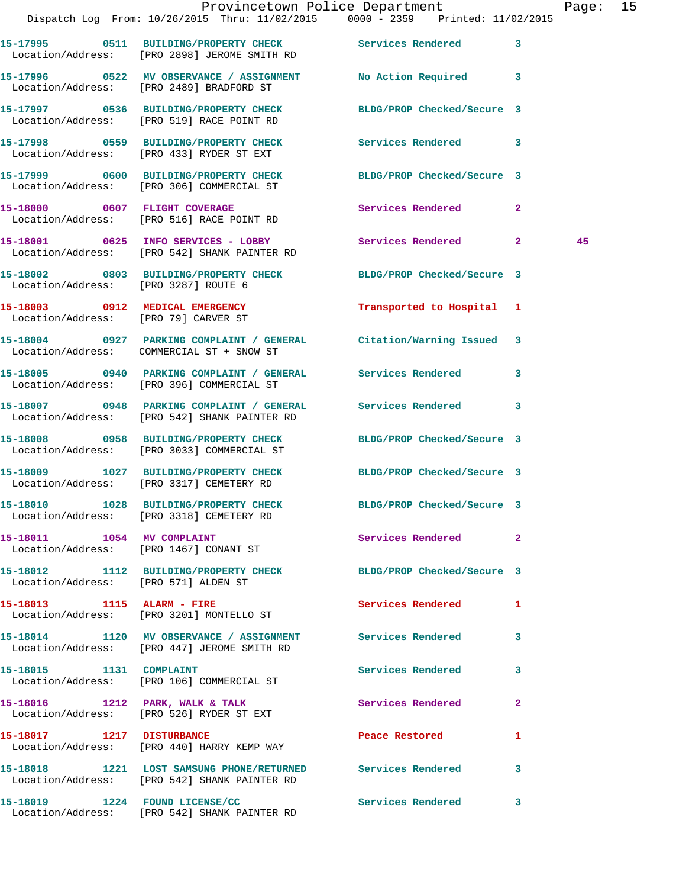|                                      | Dispatch Log From: 10/26/2015 Thru: 11/02/2015 0000 - 2359 Printed: 11/02/2015                                   | Provincetown Police Department |              | Page: 15 |  |
|--------------------------------------|------------------------------------------------------------------------------------------------------------------|--------------------------------|--------------|----------|--|
|                                      | 15-17995 0511 BUILDING/PROPERTY CHECK Services Rendered 3<br>Location/Address: [PRO 2898] JEROME SMITH RD        |                                |              |          |  |
|                                      | 15-17996 0522 MV OBSERVANCE / ASSIGNMENT No Action Required 3<br>Location/Address: [PRO 2489] BRADFORD ST        |                                |              |          |  |
|                                      | 15-17997 0536 BUILDING/PROPERTY CHECK BLDG/PROP Checked/Secure 3<br>Location/Address: [PRO 519] RACE POINT RD    |                                |              |          |  |
|                                      | 15-17998 0559 BUILDING/PROPERTY CHECK Services Rendered 3<br>Location/Address: [PRO 433] RYDER ST EXT            |                                |              |          |  |
|                                      | 15-17999 0600 BUILDING/PROPERTY CHECK BLDG/PROP Checked/Secure 3<br>Location/Address: [PRO 306] COMMERCIAL ST    |                                |              |          |  |
|                                      | 15-18000 0607 FLIGHT COVERAGE<br>Location/Address: [PRO 516] RACE POINT RD                                       | Services Rendered 2            |              |          |  |
|                                      | 15-18001 0625 INFO SERVICES - LOBBY Services Rendered 2<br>Location/Address: [PRO 542] SHANK PAINTER RD          |                                |              | 45       |  |
| Location/Address: [PRO 3287] ROUTE 6 | 15-18002 0803 BUILDING/PROPERTY CHECK BLDG/PROP Checked/Secure 3                                                 |                                |              |          |  |
|                                      | 15-18003 0912 MEDICAL EMERGENCY<br>Location/Address: [PRO 79] CARVER ST                                          | Transported to Hospital 1      |              |          |  |
|                                      | 15-18004 0927 PARKING COMPLAINT / GENERAL Citation/Warning Issued 3<br>Location/Address: COMMERCIAL ST + SNOW ST |                                |              |          |  |
|                                      | 15-18005 0940 PARKING COMPLAINT / GENERAL Services Rendered 3<br>Location/Address: [PRO 396] COMMERCIAL ST       |                                |              |          |  |
|                                      | 15-18007 0948 PARKING COMPLAINT / GENERAL Services Rendered 3<br>Location/Address: [PRO 542] SHANK PAINTER RD    |                                |              |          |  |
|                                      | 15-18008 0958 BUILDING/PROPERTY CHECK BLDG/PROP Checked/Secure 3<br>Location/Address: [PRO 3033] COMMERCIAL ST   |                                |              |          |  |
|                                      | 15-18009 1027 BUILDING/PROPERTY CHECK BLDG/PROP Checked/Secure 3<br>Location/Address: [PRO 3317] CEMETERY RD     |                                |              |          |  |
|                                      | 15-18010 1028 BUILDING/PROPERTY CHECK<br>Location/Address: [PRO 3318] CEMETERY RD                                | BLDG/PROP Checked/Secure 3     |              |          |  |
|                                      | 15-18011 1054 MV COMPLAINT<br>Location/Address: [PRO 1467] CONANT ST                                             | Services Rendered 2            |              |          |  |
| Location/Address: [PRO 571] ALDEN ST | 15-18012 1112 BUILDING/PROPERTY CHECK BLDG/PROP Checked/Secure 3                                                 |                                |              |          |  |
|                                      | 15-18013 1115 ALARM - FIRE<br>Location/Address: [PRO 3201] MONTELLO ST                                           | <b>Services Rendered</b> 1     |              |          |  |
|                                      | 15-18014 1120 MV OBSERVANCE / ASSIGNMENT Services Rendered 3<br>Location/Address: [PRO 447] JEROME SMITH RD      |                                |              |          |  |
|                                      | 15-18015    1131    COMPLAINT<br>Location/Address: [PRO 106] COMMERCIAL ST                                       | Services Rendered              | 3            |          |  |
|                                      | 15-18016 1212 PARK, WALK & TALK 1988 Services Rendered<br>Location/Address: [PRO 526] RYDER ST EXT               |                                | $\mathbf{2}$ |          |  |
|                                      | 15-18017 1217 DISTURBANCE<br>Location/Address: [PRO 440] HARRY KEMP WAY                                          | Peace Restored and the sea     | 1            |          |  |
|                                      | 15-18018 1221 LOST SAMSUNG PHONE/RETURNED Services Rendered 3<br>Location/Address: [PRO 542] SHANK PAINTER RD    |                                |              |          |  |
| 15-18019 1224 FOUND LICENSE/CC       |                                                                                                                  | Services Rendered 3            |              |          |  |

Location/Address: [PRO 542] SHANK PAINTER RD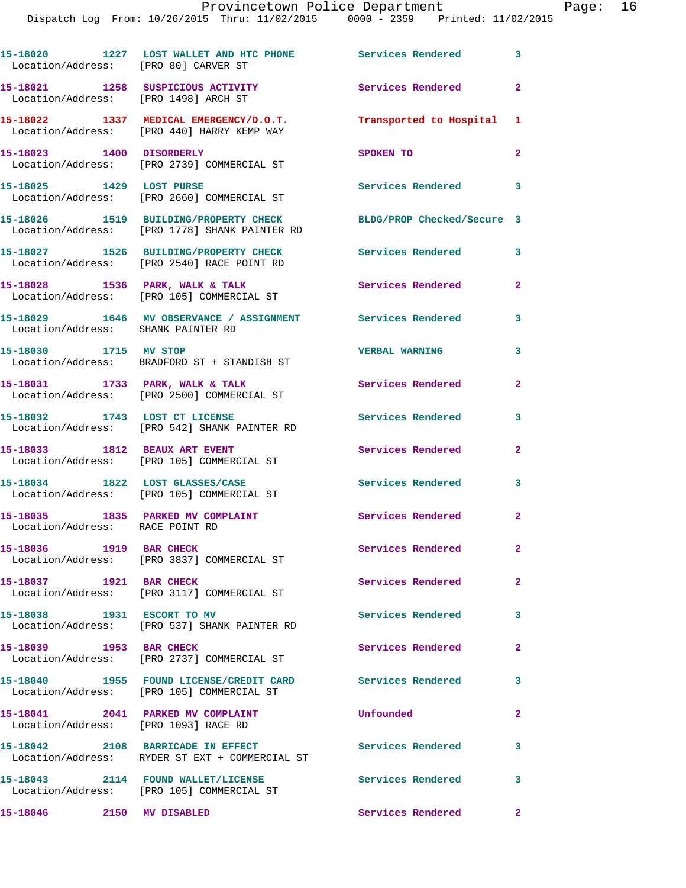**15-18020 1227 LOST WALLET AND HTC PHONE Services Rendered 3**  Location/Address: [PRO 80] CARVER ST **15-18021 1258 SUSPICIOUS ACTIVITY Services Rendered 2**  Location/Address: [PRO 1498] ARCH ST **15-18022 1337 MEDICAL EMERGENCY/D.O.T. Transported to Hospital 1**  Location/Address: [PRO 440] HARRY KEMP WAY **15-18023 1400 DISORDERLY SPOKEN TO 2**  Location/Address: [PRO 2739] COMMERCIAL ST **15-18025 1429 LOST PURSE Services Rendered 3**  Location/Address: [PRO 2660] COMMERCIAL ST **15-18026 1519 BUILDING/PROPERTY CHECK BLDG/PROP Checked/Secure 3**  Location/Address: [PRO 1778] SHANK PAINTER RD **15-18027 1526 BUILDING/PROPERTY CHECK Services Rendered 3**  Location/Address: [PRO 2540] RACE POINT RD 15-18028 1536 PARK, WALK & TALK **Services Rendered** 2 Location/Address: [PRO 105] COMMERCIAL ST **15-18029 1646 MV OBSERVANCE / ASSIGNMENT Services Rendered 3**  Location/Address: SHANK PAINTER RD **15-18030 1715 MV STOP VERBAL WARNING 3**  Location/Address: BRADFORD ST + STANDISH ST **15-18031 1733 PARK, WALK & TALK Services Rendered 2**  Location/Address: [PRO 2500] COMMERCIAL ST **15-18032 1743 LOST CT LICENSE Services Rendered 3**  Location/Address: [PRO 542] SHANK PAINTER RD 15-18033 1812 BEAUX ART EVENT **1812 Services Rendered** 2 Location/Address: [PRO 105] COMMERCIAL ST **15-18034 1822 LOST GLASSES/CASE Services Rendered 3**  Location/Address: [PRO 105] COMMERCIAL ST 15-18035 1835 PARKED MV COMPLAINT **15-18035** Services Rendered 2 Location/Address: RACE POINT RD 15-18036 1919 BAR CHECK **1920 Services Rendered** 2 Location/Address: [PRO 3837] COMMERCIAL ST **15-18037 1921 BAR CHECK Services Rendered 2**  Location/Address: [PRO 3117] COMMERCIAL ST **15-18038 1931 ESCORT TO MV Services Rendered 3**  Location/Address: [PRO 537] SHANK PAINTER RD **15-18039 1953 BAR CHECK Services Rendered 2**  Location/Address: [PRO 2737] COMMERCIAL ST **15-18040 1955 FOUND LICENSE/CREDIT CARD Services Rendered 3**  Location/Address: [PRO 105] COMMERCIAL ST **15-18041 2041 PARKED MV COMPLAINT Unfounded 2**  Location/Address: [PRO 1093] RACE RD 15-18042 2108 BARRICADE IN EFFECT Services Rendered 3 Location/Address: RYDER ST EXT + COMMERCIAL ST **15-18043 2114 FOUND WALLET/LICENSE Services Rendered 3**  Location/Address: [PRO 105] COMMERCIAL ST

**15-18046 2150 MV DISABLED Services Rendered 2**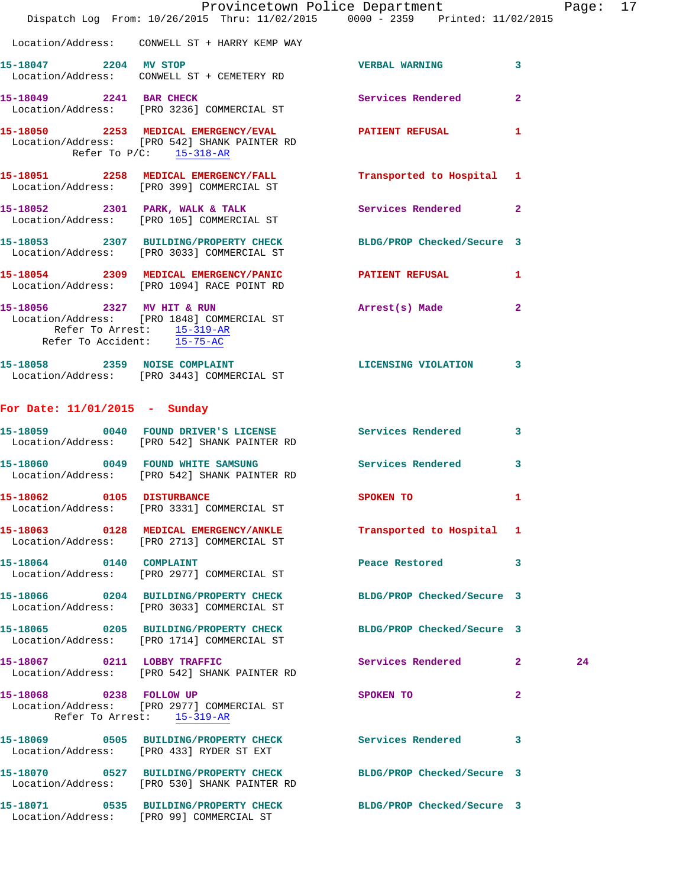|                                   | Dispatch Log From: 10/26/2015 Thru: 11/02/2015 0000 - 2359 Printed: 11/02/2015                                                         | Provincetown Police Department Page: 17 |                |    |  |
|-----------------------------------|----------------------------------------------------------------------------------------------------------------------------------------|-----------------------------------------|----------------|----|--|
|                                   | Location/Address: CONWELL ST + HARRY KEMP WAY                                                                                          |                                         |                |    |  |
| 15-18047 2204 MV STOP             | Location/Address: CONWELL ST + CEMETERY RD                                                                                             | VERBAL WARNING 3                        |                |    |  |
|                                   | 15-18049 2241 BAR CHECK Services Rendered 2<br>Location/Address: [PRO 3236] COMMERCIAL ST                                              |                                         |                |    |  |
|                                   | 15-18050 2253 MEDICAL EMERGENCY/EVAL 2007 PATIENT REFUSAL 1<br>Location/Address: [PRO 542] SHANK PAINTER RD<br>Refer To P/C: 15-318-AR |                                         |                |    |  |
|                                   | 15-18051 2258 MEDICAL EMERGENCY/FALL 7ransported to Hospital 1<br>Location/Address: [PRO 399] COMMERCIAL ST                            |                                         |                |    |  |
|                                   | 15-18052 2301 PARK, WALK & TALK 2 Services Rendered 2<br>Location/Address: [PRO 105] COMMERCIAL ST                                     |                                         |                |    |  |
|                                   | 15-18053 2307 BUILDING/PROPERTY CHECK BLDG/PROP Checked/Secure 3<br>Location/Address: [PRO 3033] COMMERCIAL ST                         |                                         |                |    |  |
|                                   | 15-18054 2309 MEDICAL EMERGENCY/PANIC PATIENT REFUSAL<br>Location/Address: [PRO 1094] RACE POINT RD                                    |                                         | $\mathbf{1}$   |    |  |
| Refer To Accident: 15-75-AC       | 15-18056 2327 MV HIT & RUN<br>Location/Address: [PRO 1848] COMMERCIAL ST<br>Refer To Arrest: 15-319-AR                                 | Arrest(s) Made                          | $\overline{2}$ |    |  |
|                                   | 15-18058 2359 NOISE COMPLAINT CONFIDENT RELEVANT OF LICENSING VIOLATION 3<br>Location/Address: [PRO 3443] COMMERCIAL ST                |                                         |                |    |  |
| For Date: $11/01/2015$ - Sunday   |                                                                                                                                        |                                         |                |    |  |
|                                   | 15-18059 0040 FOUND DRIVER'S LICENSE Services Rendered 3<br>Location/Address: [PRO 542] SHANK PAINTER RD                               |                                         |                |    |  |
| 15-18060 0049 FOUND WHITE SAMSUNG | Location/Address: [PRO 542] SHANK PAINTER RD                                                                                           | Services Rendered 3                     |                |    |  |
| 15-18062 0105 DISTURBANCE         | Location/Address: [PRO 3331] COMMERCIAL ST                                                                                             | SPOKEN TO                               | 1              |    |  |
|                                   | 15-18063 0128 MEDICAL EMERGENCY/ANKLE<br>Location/Address: [PRO 2713] COMMERCIAL ST                                                    | Transported to Hospital 1               |                |    |  |
|                                   | 15-18064 0140 COMPLAINT<br>Location/Address: [PRO 2977] COMMERCIAL ST                                                                  | Peace Restored 3                        |                |    |  |
|                                   | 15-18066 0204 BUILDING/PROPERTY CHECK<br>Location/Address: [PRO 3033] COMMERCIAL ST                                                    | BLDG/PROP Checked/Secure 3              |                |    |  |
|                                   | 15-18065 0205 BUILDING/PROPERTY CHECK BLDG/PROP Checked/Secure 3<br>Location/Address: [PRO 1714] COMMERCIAL ST                         |                                         |                |    |  |
|                                   | 15-18067 0211 LOBBY TRAFFIC<br>Location/Address: [PRO 542] SHANK PAINTER RD                                                            | Services Rendered 2                     |                | 24 |  |
| Refer To Arrest: 15-319-AR        | 15-18068 0238 FOLLOW UP<br>Location/Address: [PRO 2977] COMMERCIAL ST                                                                  | SPOKEN TO                               | $\mathbf{2}$   |    |  |
|                                   | 15-18069 0505 BUILDING/PROPERTY CHECK Services Rendered 3<br>Location/Address: [PRO 433] RYDER ST EXT                                  |                                         |                |    |  |
|                                   | 15-18070 0527 BUILDING/PROPERTY CHECK BLDG/PROP Checked/Secure 3<br>Location/Address: [PRO 530] SHANK PAINTER RD                       |                                         |                |    |  |
|                                   | 15-18071 0535 BUILDING/PROPERTY CHECK BLDG/PROP Checked/Secure 3<br>Location/Address: [PRO 99] COMMERCIAL ST                           |                                         |                |    |  |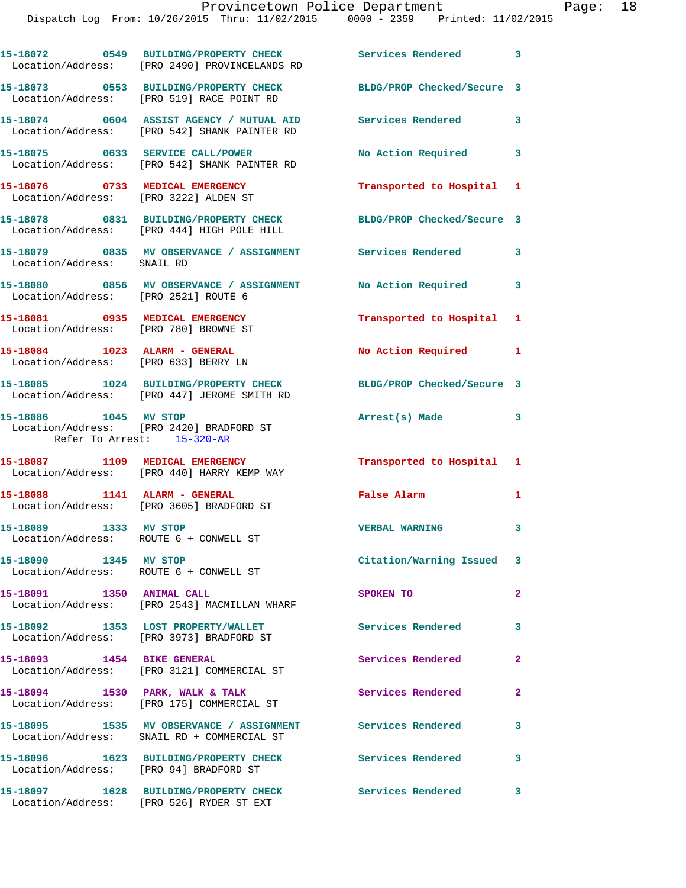Dispatch Log From: 10/26/2015 Thru: 11/02/2015 0000 - 2359 Printed: 11/02/2015 **15-18072 0549 BUILDING/PROPERTY CHECK Services Rendered 3** 

 Location/Address: [PRO 2490] PROVINCELANDS RD **15-18073 0553 BUILDING/PROPERTY CHECK BLDG/PROP Checked/Secure 3**  Location/Address: [PRO 519] RACE POINT RD **15-18074 0604 ASSIST AGENCY / MUTUAL AID Services Rendered 3**  Location/Address: [PRO 542] SHANK PAINTER RD

**15-18075 0633 SERVICE CALL/POWER No Action Required 3**  Location/Address: [PRO 542] SHANK PAINTER RD

**15-18076 0733 MEDICAL EMERGENCY Transported to Hospital 1**  Location/Address: [PRO 3222] ALDEN ST

Location/Address: [PRO 444] HIGH POLE HILL

**15-18079 0835 MV OBSERVANCE / ASSIGNMENT Services Rendered 3**  Location/Address: SNAIL RD

**15-18080 0856 MV OBSERVANCE / ASSIGNMENT No Action Required 3**  Location/Address: [PRO 2521] ROUTE 6

**15-18081 0935 MEDICAL EMERGENCY Transported to Hospital 1**  Location/Address: [PRO 780] BROWNE ST

Location/Address: [PRO 633] BERRY LN

**15-18085 1024 BUILDING/PROPERTY CHECK BLDG/PROP Checked/Secure 3**  Location/Address: [PRO 447] JEROME SMITH RD

**15-18086 1045 MV STOP Arrest(s) Made 3**  Location/Address: [PRO 2420] BRADFORD ST Refer To Arrest: 15-320-AR

**15-18087 1109 MEDICAL EMERGENCY Transported to Hospital 1**  Location/Address: [PRO 440] HARRY KEMP WAY

**15-18088 1141 ALARM - GENERAL False Alarm 1**  Location/Address: [PRO 3605] BRADFORD ST

Location/Address: ROUTE 6 + CONWELL ST

Location/Address: ROUTE 6 + CONWELL ST

**15-18091 1350 ANIMAL CALL SPOKEN TO 2**  Location/Address: [PRO 2543] MACMILLAN WHARF

**15-18092 1353 LOST PROPERTY/WALLET Services Rendered 3**  Location/Address: [PRO 3973] BRADFORD ST

**15-18093 1454 BIKE GENERAL Services Rendered 2**  Location/Address: [PRO 3121] COMMERCIAL ST

Location/Address: [PRO 175] COMMERCIAL ST

Location/Address: SNAIL RD + COMMERCIAL ST

Location/Address: [PRO 94] BRADFORD ST

Location/Address: [PRO 526] RYDER ST EXT

**15-18078 0831 BUILDING/PROPERTY CHECK BLDG/PROP Checked/Secure 3** 

**15-18084 1023 ALARM - GENERAL No Action Required 1** 

**15-18089 1333 MV STOP VERBAL WARNING 3** 

**15-18090 1345 MV STOP Citation/Warning Issued 3** 

15-18094 1530 PARK, WALK & TALK Services Rendered 2

**15-18095 1535 MV OBSERVANCE / ASSIGNMENT Services Rendered 3** 

**15-18096 1623 BUILDING/PROPERTY CHECK Services Rendered 3** 

**15-18097 1628 BUILDING/PROPERTY CHECK Services Rendered 3**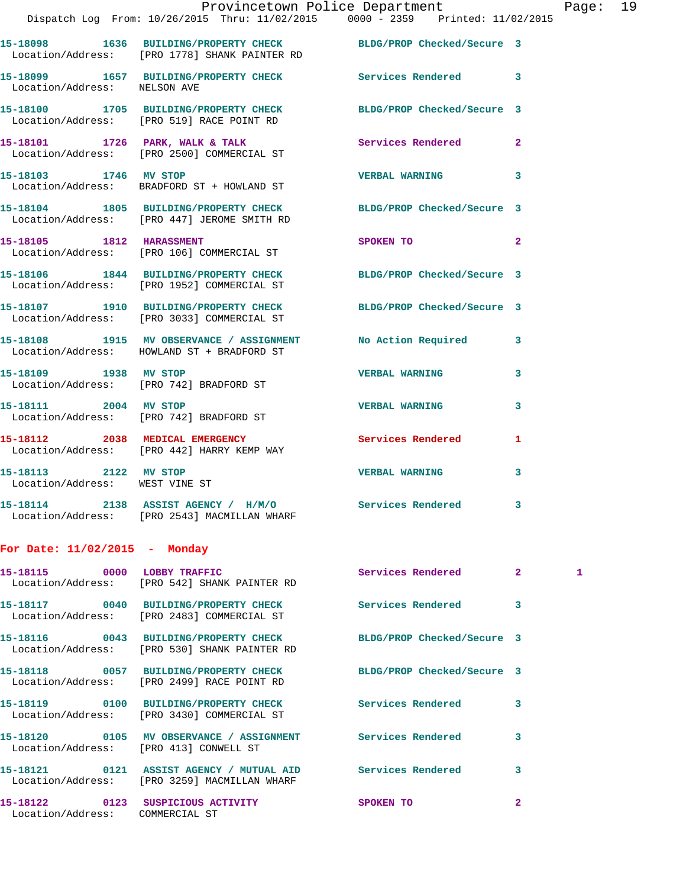|                                                         | Dispatch Log From: 10/26/2015 Thru: 11/02/2015 0000 - 2359 Printed: 11/02/2015                                    | Provincetown Police Department |              | Pag |
|---------------------------------------------------------|-------------------------------------------------------------------------------------------------------------------|--------------------------------|--------------|-----|
|                                                         | 15-18098 1636 BUILDING/PROPERTY CHECK BLDG/PROP Checked/Secure 3<br>Location/Address: [PRO 1778] SHANK PAINTER RD |                                |              |     |
|                                                         | 15-18099 1657 BUILDING/PROPERTY CHECK Services Rendered<br>Location/Address: NELSON AVE                           |                                | 3            |     |
|                                                         | 15-18100 1705 BUILDING/PROPERTY CHECK BLDG/PROP Checked/Secure 3<br>Location/Address: [PRO 519] RACE POINT RD     |                                |              |     |
|                                                         | 15-18101 1726 PARK, WALK & TALK<br>Location/Address: [PRO 2500] COMMERCIAL ST                                     | Services Rendered              | $\mathbf{2}$ |     |
| 15-18103 1746 MV STOP                                   | Location/Address: BRADFORD ST + HOWLAND ST                                                                        | <b>VERBAL WARNING</b>          | 3            |     |
|                                                         | 15-18104 1805 BUILDING/PROPERTY CHECK BLDG/PROP Checked/Secure 3<br>Location/Address: [PRO 447] JEROME SMITH RD   |                                |              |     |
|                                                         | 15-18105 1812 HARASSMENT<br>Location/Address: [PRO 106] COMMERCIAL ST                                             | SPOKEN TO                      | 2            |     |
|                                                         | 15-18106 1844 BUILDING/PROPERTY CHECK BLDG/PROP Checked/Secure 3<br>Location/Address: [PRO 1952] COMMERCIAL ST    |                                |              |     |
|                                                         | 15-18107 1910 BUILDING/PROPERTY CHECK BLDG/PROP Checked/Secure 3<br>Location/Address: [PRO 3033] COMMERCIAL ST    |                                |              |     |
|                                                         | 15-18108 1915 MV OBSERVANCE / ASSIGNMENT<br>Location/Address: HOWLAND ST + BRADFORD ST                            | No Action Required             | 3            |     |
|                                                         | 15-18109 1938 MV STOP<br>Location/Address: [PRO 742] BRADFORD ST                                                  | <b>VERBAL WARNING</b>          | 3            |     |
| 15-18111 2004 MV STOP                                   | Location/Address: [PRO 742] BRADFORD ST                                                                           | <b>VERBAL WARNING</b>          | 3            |     |
|                                                         | 15-18112 2038 MEDICAL EMERGENCY<br>Location/Address: [PRO 442] HARRY KEMP WAY                                     | Services Rendered              | 1            |     |
| 15-18113 2122 MV STOP<br>Location/Address: WEST VINE ST |                                                                                                                   | <b>VERBAL WARNING</b>          | 3            |     |
|                                                         | 15-18114 2138 ASSIST AGENCY / H/M/O Services Rendered<br>Location/Address: [PRO 2543] MACMILLAN WHARF             |                                | 3            |     |
| For Date: 11/02/2015 - Monday                           |                                                                                                                   |                                |              |     |
|                                                         | 15-18115 0000 LOBBY TRAFFIC<br>Location/Address: [PRO 542] SHANK PAINTER RD                                       | Services Rendered              | $\mathbf{2}$ | 1   |
|                                                         | 15-18117 0040 BUILDING/PROPERTY CHECK<br>Location/Address: [PRO 2483] COMMERCIAL ST                               | Services Rendered              | 3            |     |
|                                                         | 15-18116 0043 BUILDING/PROPERTY CHECK BLDG/PROP Checked/Secure 3<br>Location/Address: [PRO 530] SHANK PAINTER RD  |                                |              |     |
|                                                         | 15-18118 0057 BUILDING/PROPERTY CHECK BLDG/PROP Checked/Secure 3<br>Location/Address: [PRO 2499] RACE POINT RD    |                                |              |     |
|                                                         | 15-18119 0100 BUILDING/PROPERTY CHECK Services Rendered<br>Location/Address: [PRO 3430] COMMERCIAL ST             |                                | 3            |     |
|                                                         | 15-18120 0105 MV OBSERVANCE / ASSIGNMENT Services Rendered<br>Location/Address: [PRO 413] CONWELL ST              |                                | 3            |     |
|                                                         | 15-18121   0121   ASSIST AGENCY / MUTUAL AID   Services Rendered<br>Location/Address: [PRO 3259] MACMILLAN WHARF  |                                | 3            |     |
|                                                         | 15-18122  0123  SUSPICIOUS ACTIVITY                                                                               | SPOKEN TO                      | $\mathbf{2}$ |     |

Location/Address: COMMERCIAL ST

age: 19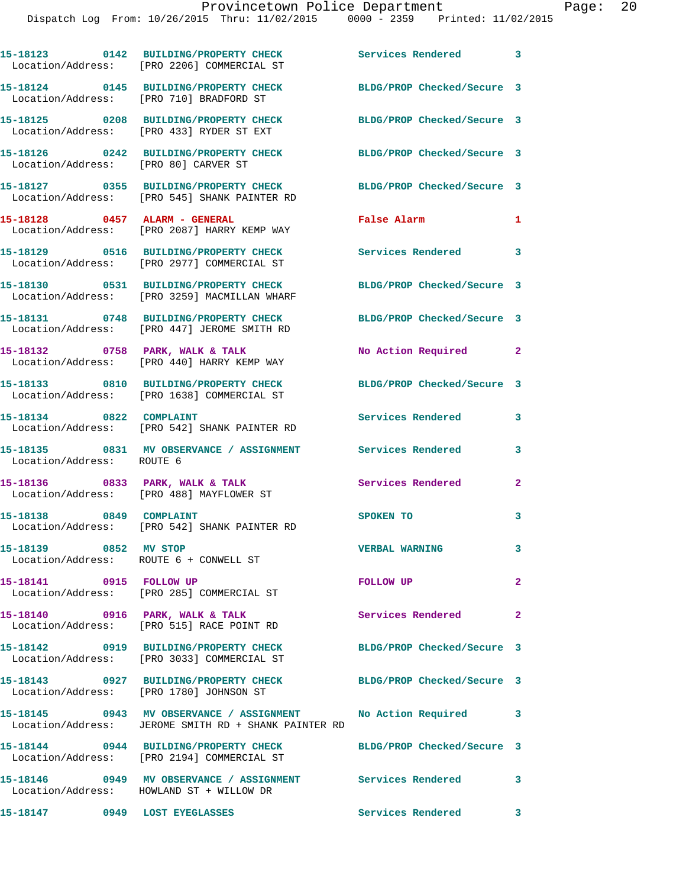Dispatch Log From: 10/26/2015 Thru: 11/02/2015 0000 - 2359 Printed: 11/02/2015

**15-18123 0142 BUILDING/PROPERTY CHECK Services Rendered 3**  Location/Address: [PRO 2206] COMMERCIAL ST **15-18124 0145 BUILDING/PROPERTY CHECK BLDG/PROP Checked/Secure 3**  Location/Address: [PRO 710] BRADFORD ST **15-18125 0208 BUILDING/PROPERTY CHECK BLDG/PROP Checked/Secure 3**  Location/Address: [PRO 433] RYDER ST EXT **15-18126 0242 BUILDING/PROPERTY CHECK BLDG/PROP Checked/Secure 3**  Location/Address: [PRO 80] CARVER ST **15-18127 0355 BUILDING/PROPERTY CHECK BLDG/PROP Checked/Secure 3**  Location/Address: [PRO 545] SHANK PAINTER RD **15-18128 0457 ALARM - GENERAL False Alarm 1**  Location/Address: [PRO 2087] HARRY KEMP WAY **15-18129 0516 BUILDING/PROPERTY CHECK Services Rendered 3**  Location/Address: [PRO 2977] COMMERCIAL ST **15-18130 0531 BUILDING/PROPERTY CHECK BLDG/PROP Checked/Secure 3**  Location/Address: [PRO 3259] MACMILLAN WHARF **15-18131 0748 BUILDING/PROPERTY CHECK BLDG/PROP Checked/Secure 3**  Location/Address: [PRO 447] JEROME SMITH RD 15-18132 0758 PARK, WALK & TALK **No Action Required** 2 Location/Address: [PRO 440] HARRY KEMP WAY **15-18133 0810 BUILDING/PROPERTY CHECK BLDG/PROP Checked/Secure 3**  Location/Address: [PRO 1638] COMMERCIAL ST **15-18134 0822 COMPLAINT Services Rendered 3**  Location/Address: [PRO 542] SHANK PAINTER RD **15-18135 0831 MV OBSERVANCE / ASSIGNMENT Services Rendered 3**  Location/Address: **15-18136 0833 PARK, WALK & TALK Services Rendered 2**  Location/Address: [PRO 488] MAYFLOWER ST **15-18138** 0849 COMPLAINT SPOKEN TO 3 Location/Address: [PRO 542] SHANK PAINTER RD **15-18139 0852 MV STOP VERBAL WARNING 3**  Location/Address: ROUTE 6 + CONWELL ST **15-18141 0915 FOLLOW UP FOLLOW UP 2**  Location/Address: [PRO 285] COMMERCIAL ST **15-18140 0916 PARK, WALK & TALK Services Rendered 2**  Location/Address: [PRO 515] RACE POINT RD **15-18142 0919 BUILDING/PROPERTY CHECK BLDG/PROP Checked/Secure 3**  Location/Address: [PRO 3033] COMMERCIAL ST **15-18143 0927 BUILDING/PROPERTY CHECK BLDG/PROP Checked/Secure 3**  Location/Address: [PRO 1780] JOHNSON ST **15-18145 0943 MV OBSERVANCE / ASSIGNMENT No Action Required 3**  Location/Address: JEROME SMITH RD + SHANK PAINTER RD **15-18144 0944 BUILDING/PROPERTY CHECK BLDG/PROP Checked/Secure 3**  Location/Address: [PRO 2194] COMMERCIAL ST **15-18146 0949 MV OBSERVANCE / ASSIGNMENT Services Rendered 3**  Location/Address: HOWLAND ST + WILLOW DR **15-18147 0949 LOST EYEGLASSES Services Rendered 3**